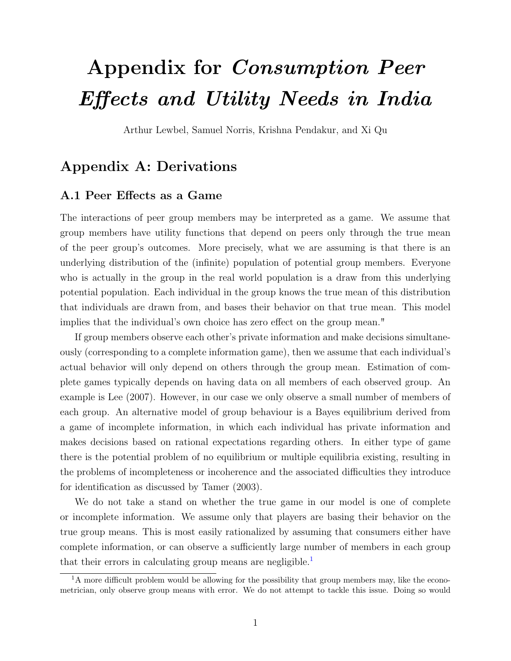# <span id="page-0-1"></span>Appendix for Consumption Peer Effects and Utility Needs in India

Arthur Lewbel, Samuel Norris, Krishna Pendakur, and Xi Qu

## Appendix A: Derivations

#### A.1 Peer Effects as a Game

The interactions of peer group members may be interpreted as a game. We assume that group members have utility functions that depend on peers only through the true mean of the peer group's outcomes. More precisely, what we are assuming is that there is an underlying distribution of the (infinite) population of potential group members. Everyone who is actually in the group in the real world population is a draw from this underlying potential population. Each individual in the group knows the true mean of this distribution that individuals are drawn from, and bases their behavior on that true mean. This model implies that the individual's own choice has zero effect on the group mean."

If group members observe each other's private information and make decisions simultaneously (corresponding to a complete information game), then we assume that each individual's actual behavior will only depend on others through the group mean. Estimation of complete games typically depends on having data on all members of each observed group. An example is Lee (2007). However, in our case we only observe a small number of members of each group. An alternative model of group behaviour is a Bayes equilibrium derived from a game of incomplete information, in which each individual has private information and makes decisions based on rational expectations regarding others. In either type of game there is the potential problem of no equilibrium or multiple equilibria existing, resulting in the problems of incompleteness or incoherence and the associated difficulties they introduce for identification as discussed by Tamer (2003).

We do not take a stand on whether the true game in our model is one of complete or incomplete information. We assume only that players are basing their behavior on the true group means. This is most easily rationalized by assuming that consumers either have complete information, or can observe a sufficiently large number of members in each group that their errors in calculating group means are negligible. $<sup>1</sup>$  $<sup>1</sup>$  $<sup>1</sup>$ </sup>

<span id="page-0-0"></span><sup>&</sup>lt;sup>1</sup>A more difficult problem would be allowing for the possibility that group members may, like the econometrician, only observe group means with error. We do not attempt to tackle this issue. Doing so would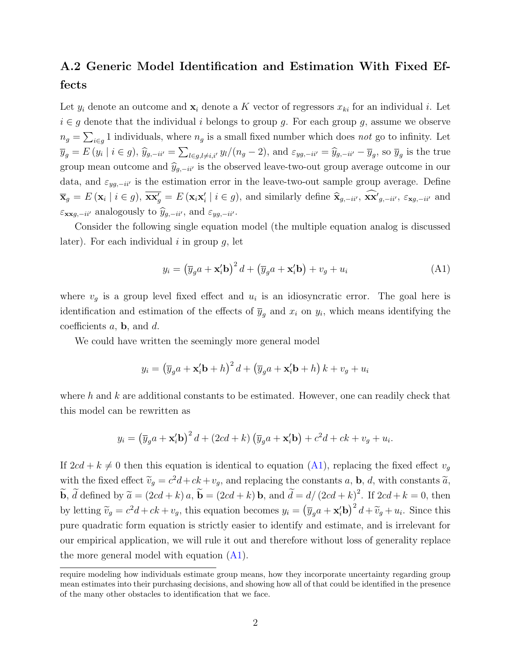## A.2 Generic Model Identification and Estimation With Fixed Effects

Let  $y_i$  denote an outcome and  $\mathbf{x}_i$  denote a K vector of regressors  $x_{ki}$  for an individual i. Let  $i \in g$  denote that the individual i belongs to group g. For each group g, assume we observe  $n_g = \sum_{i \in g} 1$  individuals, where  $n_g$  is a small fixed number which does not go to infinity. Let  $\overline{y}_g = E(y_i \mid i \in g), \hat{y}_{g,-ii'} = \sum_{l \in g, l \neq i,i'} y_l/(n_g - 2)$ , and  $\varepsilon_{yg,-ii'} = \hat{y}_{g,-ii'} - \overline{y}_g$ , so  $\overline{y}_g$  is the true group mean outcome and  $\hat{y}_{q,-i'j}$  is the observed leave-two-out group average outcome in our data, and  $\varepsilon_{yg,-ii'}$  is the estimation error in the leave-two-out sample group average. Define  $\overline{\mathbf{x}}_g = E(\mathbf{x}_i \mid i \in g), \overline{\mathbf{x} \mathbf{x}'_g} = E(\mathbf{x}_i \mathbf{x}'_i \mid i \in g),$  and similarly define  $\hat{\mathbf{x}}_{g,-ii'}$ ,  $\overline{\mathbf{x} \mathbf{x}'}_{g,-ii'}$ ,  $\varepsilon_{\mathbf{x}g,-ii'}$  and  $\varepsilon_{\mathbf{x}\mathbf{x}g,-i i'}$  analogously to  $\widehat{y}_{g,-i i'},$  and  $\varepsilon_{yg,-i i'}.$ 

Consider the following single equation model (the multiple equation analog is discussed later). For each individual  $i$  in group  $q$ , let

<span id="page-1-0"></span>
$$
y_i = \left(\overline{y}_g a + \mathbf{x}_i' \mathbf{b}\right)^2 d + \left(\overline{y}_g a + \mathbf{x}_i' \mathbf{b}\right) + v_g + u_i \tag{A1}
$$

where  $v<sub>g</sub>$  is a group level fixed effect and  $u<sub>i</sub>$  is an idiosyncratic error. The goal here is identification and estimation of the effects of  $\overline{y}_g$  and  $x_i$  on  $y_i$ , which means identifying the coefficients  $a$ , **b**, and  $d$ .

We could have written the seemingly more general model

$$
y_i = \left(\overline{y}_g a + \mathbf{x}_i' \mathbf{b} + h\right)^2 d + \left(\overline{y}_g a + \mathbf{x}_i' \mathbf{b} + h\right) k + v_g + u_i
$$

where  $h$  and  $k$  are additional constants to be estimated. However, one can readily check that this model can be rewritten as

$$
y_i = \left(\overline{y}_g a + \mathbf{x}_i' \mathbf{b}\right)^2 d + \left(2cd + k\right)\left(\overline{y}_g a + \mathbf{x}_i' \mathbf{b}\right) + c^2 d + ck + v_g + u_i.
$$

If  $2cd + k \neq 0$  then this equation is identical to equation [\(A1\)](#page-1-0), replacing the fixed effect  $v_g$ with the fixed effect  $\widetilde{v}_g = c^2d + ck + v_g$ , and replacing the constants a, **b**, d, with constants  $\widetilde{a}$ ,  $\widetilde{\mathbf{b}}$ ,  $\widetilde{d}$  defined by  $\widetilde{a} = (2cd + k) a$ ,  $\widetilde{\mathbf{b}} = (2cd + k) \mathbf{b}$ , and  $\widetilde{d} = d/(2cd + k)^2$ . If  $2cd + k = 0$ , then by letting  $\widetilde{v}_g = c^2d + ck + v_g$ , this equation becomes  $y_i = (\overline{y}_g a + \mathbf{x}_i' \mathbf{b})^2 d + \widetilde{v}_g + u_i$ . Since this pure quadratic form equation is strictly easier to identify and estimate, and is irrelevant for our empirical application, we will rule it out and therefore without loss of generality replace the more general model with equation [\(A1\)](#page-1-0).

require modeling how individuals estimate group means, how they incorporate uncertainty regarding group mean estimates into their purchasing decisions, and showing how all of that could be identified in the presence of the many other obstacles to identification that we face.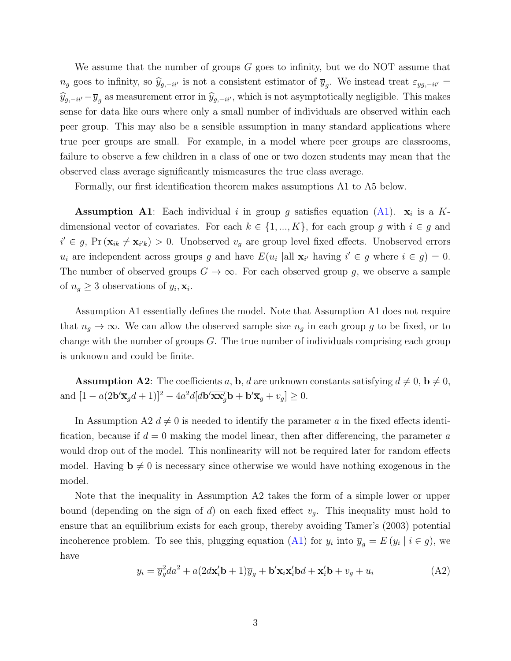We assume that the number of groups  $G$  goes to infinity, but we do NOT assume that  $n_g$  goes to infinity, so  $\hat{y}_{g,-ii'}$  is not a consistent estimator of  $\overline{y}_g$ . We instead treat  $\varepsilon_{yg,-ii'}$  =  $\widehat{y}_{g,-ii'}-\overline{y}_g$  as measurement error in  $\widehat{y}_{g,-ii'}$ , which is not asymptotically negligible. This makes sense for data like ours where only a small number of individuals are observed within each peer group. This may also be a sensible assumption in many standard applications where true peer groups are small. For example, in a model where peer groups are classrooms, failure to observe a few children in a class of one or two dozen students may mean that the observed class average significantly mismeasures the true class average.

Formally, our first identification theorem makes assumptions A1 to A5 below.

**Assumption A1**: Each individual i in group g satisfies equation  $(A1)$ .  $x_i$  is a Kdimensional vector of covariates. For each  $k \in \{1, ..., K\}$ , for each group g with  $i \in g$  and  $i' \in g$ , Pr  $(\mathbf{x}_{ik} \neq \mathbf{x}_{i'k}) > 0$ . Unobserved  $v_g$  are group level fixed effects. Unobserved errors  $u_i$  are independent across groups g and have  $E(u_i \text{ all } \mathbf{x}_{i'} \text{ having } i' \in g \text{ where } i \in g) = 0.$ The number of observed groups  $G \to \infty$ . For each observed group g, we observe a sample of  $n_g \geq 3$  observations of  $y_i, \mathbf{x}_i$ .

Assumption A1 essentially defines the model. Note that Assumption A1 does not require that  $n_g \to \infty$ . We can allow the observed sample size  $n_g$  in each group g to be fixed, or to change with the number of groups  $G$ . The true number of individuals comprising each group is unknown and could be finite.

**Assumption A2**: The coefficients a, **b**, d are unknown constants satisfying  $d \neq 0$ ,  $\mathbf{b} \neq 0$ , and  $[1 - a(2\mathbf{b}'\overline{\mathbf{x}}_g d + 1)]^2 - 4a^2d[d\mathbf{b}'\overline{\mathbf{x}}_g\overline{\mathbf{x}}_g' \mathbf{b} + \mathbf{b}'\overline{\mathbf{x}}_g + v_g] \ge 0.$ 

In Assumption A2  $d \neq 0$  is needed to identify the parameter a in the fixed effects identification, because if  $d = 0$  making the model linear, then after differencing, the parameter a would drop out of the model. This nonlinearity will not be required later for random effects model. Having  $\mathbf{b} \neq 0$  is necessary since otherwise we would have nothing exogenous in the model.

Note that the inequality in Assumption A2 takes the form of a simple lower or upper bound (depending on the sign of d) on each fixed effect  $v_q$ . This inequality must hold to ensure that an equilibrium exists for each group, thereby avoiding Tamer's (2003) potential incoherence problem. To see this, plugging equation [\(A1\)](#page-1-0) for  $y_i$  into  $\overline{y}_g = E(y_i \mid i \in g)$ , we have

$$
y_i = \overline{y}_g^2 da^2 + a(2d\mathbf{x}_i' \mathbf{b} + 1)\overline{y}_g + \mathbf{b}' \mathbf{x}_i \mathbf{x}_i' \mathbf{b} d + \mathbf{x}_i' \mathbf{b} + v_g + u_i
$$
 (A2)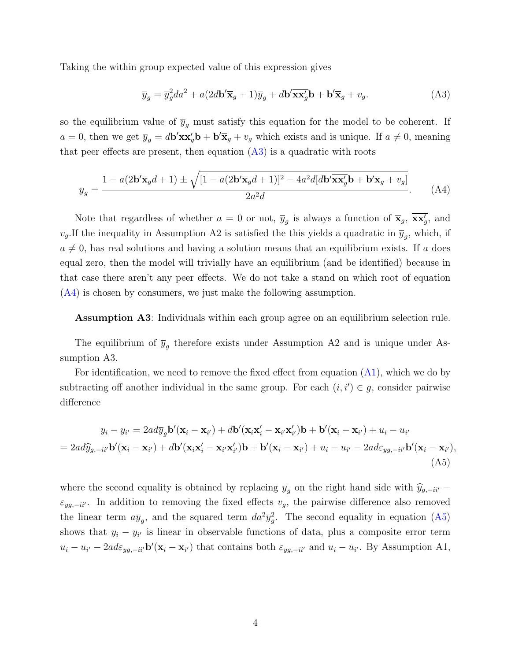Taking the within group expected value of this expression gives

<span id="page-3-0"></span>
$$
\overline{y}_g = \overline{y}_g^2 da^2 + a(2d\mathbf{b}' \overline{\mathbf{x}}_g + 1)\overline{y}_g + d\mathbf{b}' \overline{\mathbf{x}} \overline{\mathbf{x}}_g' \mathbf{b} + \mathbf{b}' \overline{\mathbf{x}}_g + v_g.
$$
 (A3)

so the equilibrium value of  $\overline{y}_g$  must satisfy this equation for the model to be coherent. If  $a = 0$ , then we get  $\overline{y}_g = d\mathbf{b}' \overline{\mathbf{x} \mathbf{x}'_g} \mathbf{b} + \mathbf{b}' \overline{\mathbf{x}}_g + v_g$  which exists and is unique. If  $a \neq 0$ , meaning that peer effects are present, then equation  $(A3)$  is a quadratic with roots

<span id="page-3-1"></span>
$$
\overline{y}_g = \frac{1 - a(2\mathbf{b}'\overline{\mathbf{x}}_g d + 1) \pm \sqrt{[1 - a(2\mathbf{b}'\overline{\mathbf{x}}_g d + 1)]^2 - 4a^2 d[d\mathbf{b}'\overline{\mathbf{x}}_g\overline{\mathbf{b}} + \mathbf{b}'\overline{\mathbf{x}}_g + v_g]}{2a^2 d}.
$$
 (A4)

Note that regardless of whether  $a = 0$  or not,  $\overline{y}_g$  is always a function of  $\overline{\mathbf{x}}_g$ ,  $\overline{\mathbf{x}\mathbf{x}'_g}$ , and  $v_g$ . If the inequality in Assumption A2 is satisfied the this yields a quadratic in  $\overline{y}_g$ , which, if  $a \neq 0$ , has real solutions and having a solution means that an equilibrium exists. If a does equal zero, then the model will trivially have an equilibrium (and be identified) because in that case there aren't any peer effects. We do not take a stand on which root of equation [\(A4\)](#page-3-1) is chosen by consumers, we just make the following assumption.

Assumption A3: Individuals within each group agree on an equilibrium selection rule.

The equilibrium of  $\bar{y}_g$  therefore exists under Assumption A2 and is unique under Assumption A3.

For identification, we need to remove the fixed effect from equation [\(A1\)](#page-1-0), which we do by subtracting off another individual in the same group. For each  $(i, i') \in g$ , consider pairwise difference

<span id="page-3-2"></span>
$$
y_i - y_{i'} = 2ad\overline{y}_g \mathbf{b}'(\mathbf{x}_i - \mathbf{x}_{i'}) + d\mathbf{b}'(\mathbf{x}_i \mathbf{x}'_i - \mathbf{x}_{i'} \mathbf{x}'_{i'})\mathbf{b} + \mathbf{b}'(\mathbf{x}_i - \mathbf{x}_{i'}) + u_i - u_{i'}
$$
  
=  $2ad\widehat{y}_{g, -ii'} \mathbf{b}'(\mathbf{x}_i - \mathbf{x}_{i'}) + d\mathbf{b}'(\mathbf{x}_i \mathbf{x}'_i - \mathbf{x}_{i'} \mathbf{x}'_{i'})\mathbf{b} + \mathbf{b}'(\mathbf{x}_i - \mathbf{x}_{i'}) + u_i - u_{i'} - 2ad\varepsilon_{yg, -ii'} \mathbf{b}'(\mathbf{x}_i - \mathbf{x}_{i'}),$   
(A5)

where the second equality is obtained by replacing  $\bar{y}_q$  on the right hand side with  $\hat{y}_{g,-ii'}$  −  $\varepsilon_{yg,-ii'}$ . In addition to removing the fixed effects  $v_g$ , the pairwise difference also removed the linear term  $a\bar{y}_g$ , and the squared term  $da^2\bar{y}_g^2$ . The second equality in equation [\(A5\)](#page-3-2) shows that  $y_i - y_{i'}$  is linear in observable functions of data, plus a composite error term  $u_i - u_{i'} - 2ad\varepsilon_{yg, -i'y}$  b'( $\mathbf{x}_i - \mathbf{x}_{i'}$ ) that contains both  $\varepsilon_{yg, -i'y}$  and  $u_i - u_{i'}$ . By Assumption A1,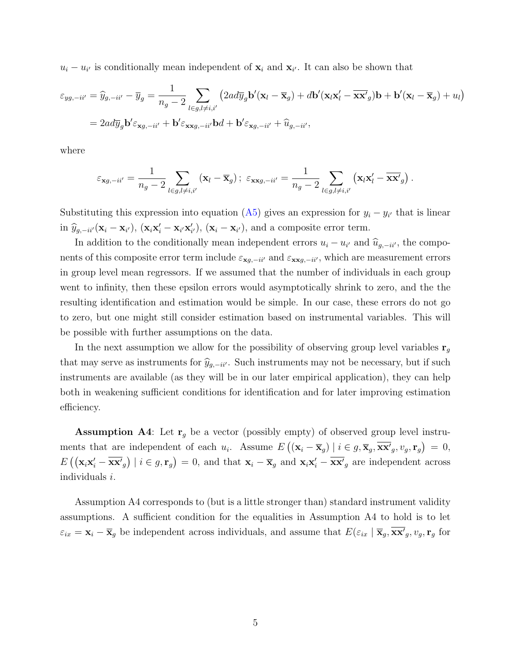$u_i - u_{i'}$  is conditionally mean independent of  $\mathbf{x}_i$  and  $\mathbf{x}_{i'}$ . It can also be shown that

$$
\varepsilon_{yg, -ii'} = \hat{y}_{g, -ii'} - \overline{y}_g = \frac{1}{n_g - 2} \sum_{l \in g, l \neq i, i'} \left( 2ad \overline{y}_g \mathbf{b}'(\mathbf{x}_l - \overline{\mathbf{x}}_g) + d\mathbf{b}'(\mathbf{x}_l \mathbf{x}'_l - \overline{\mathbf{x}} \mathbf{x}'_g) \mathbf{b} + \mathbf{b}'(\mathbf{x}_l - \overline{\mathbf{x}}_g) + u_l \right)
$$
  
=  $2ad \overline{y}_g \mathbf{b}' \varepsilon_{\mathbf{x}g, -ii'} + \mathbf{b}' \varepsilon_{\mathbf{x}xg, -ii'} \mathbf{b}d + \mathbf{b}' \varepsilon_{\mathbf{x}g, -ii'} + \hat{u}_{g, -ii'},$ 

where

$$
\varepsilon_{\mathbf{x}g,-ii'} = \frac{1}{n_g-2} \sum_{l\in g,l\neq i,i'} (\mathbf{x}_l - \overline{\mathbf{x}}_g); \ \varepsilon_{\mathbf{x}\mathbf{x}g,-ii'} = \frac{1}{n_g-2} \sum_{l\in g,l\neq i,i'} (\mathbf{x}_l \mathbf{x}'_l - \overline{\mathbf{x}\mathbf{x}'}_g).
$$

Substituting this expression into equation [\(A5\)](#page-3-2) gives an expression for  $y_i - y_{i'}$  that is linear in  $\hat{y}_{g,-ii'}(\mathbf{x}_i - \mathbf{x}_{i'}), (\mathbf{x}_i \mathbf{x}'_i - \mathbf{x}_{i'} \mathbf{x}'_{i'}), (\mathbf{x}_i - \mathbf{x}_{i'}),$  and a composite error term.

In addition to the conditionally mean independent errors  $u_i - u_{i'}$  and  $\hat{u}_{g,-ii'}$ , the components of this composite error term include  $\varepsilon_{\mathbf{x}g,-ii'}$  and  $\varepsilon_{\mathbf{x}xg,-ii'}$ , which are measurement errors in group level mean regressors. If we assumed that the number of individuals in each group went to infinity, then these epsilon errors would asymptotically shrink to zero, and the the resulting identification and estimation would be simple. In our case, these errors do not go to zero, but one might still consider estimation based on instrumental variables. This will be possible with further assumptions on the data.

In the next assumption we allow for the possibility of observing group level variables  $r<sub>g</sub>$ that may serve as instruments for  $\hat{y}_{g,-ii'}$ . Such instruments may not be necessary, but if such instruments are available (as they will be in our later empirical application), they can help both in weakening sufficient conditions for identification and for later improving estimation efficiency.

**Assumption A4**: Let  $\mathbf{r}_g$  be a vector (possibly empty) of observed group level instruments that are independent of each  $u_i$ . Assume  $E((\mathbf{x}_i - \overline{\mathbf{x}}_g) | i \in g, \overline{\mathbf{x}}_g, \overline{\mathbf{x}}_g, v_g, \mathbf{r}_g) = 0$ ,  $E\left(\left(\mathbf{x}_i\mathbf{x}_i^{\prime}-\overline{\mathbf{x}\mathbf{x}^{\prime}}_g\right) \mid i \in g, \mathbf{r}_g\right) = 0$ , and that  $\mathbf{x}_i - \overline{\mathbf{x}}_g$  and  $\mathbf{x}_i\mathbf{x}_i^{\prime}-\overline{\mathbf{x}\mathbf{x}^{\prime}}_g$  are independent across individuals i.

Assumption A4 corresponds to (but is a little stronger than) standard instrument validity assumptions. A sufficient condition for the equalities in Assumption A4 to hold is to let  $\varepsilon_{ix} = \mathbf{x}_i - \overline{\mathbf{x}}_g$  be independent across individuals, and assume that  $E(\varepsilon_{ix} | \overline{\mathbf{x}}_g, \overline{\mathbf{x}} \overline{\mathbf{x}}'_g, v_g, \mathbf{r}_g)$  for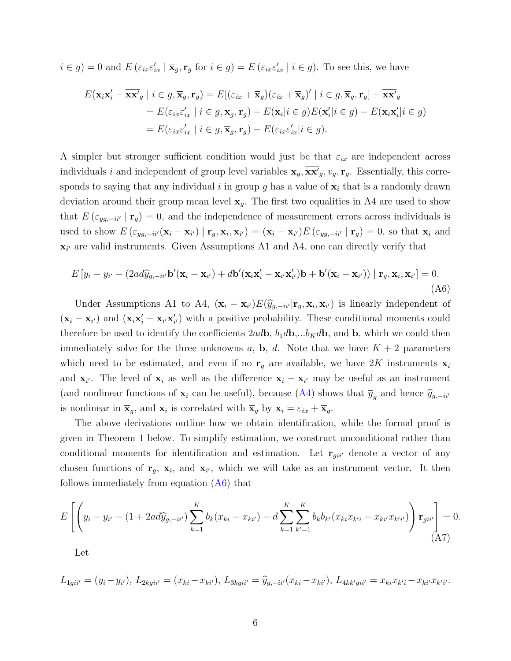$i \in g$ ) = 0 and  $E\left(\varepsilon_{ix}\varepsilon'_{ix} \mid \overline{\mathbf{x}}_g, \mathbf{r}_g \text{ for } i \in g\right) = E\left(\varepsilon_{ix}\varepsilon'_{ix} \mid i \in g\right)$ . To see this, we have

$$
E(\mathbf{x}_{i}\mathbf{x}'_{i} - \overline{\mathbf{x}}\mathbf{x}'_{g} \mid i \in g, \overline{\mathbf{x}}_{g}, \mathbf{r}_{g}) = E[(\varepsilon_{ix} + \overline{\mathbf{x}}_{g})(\varepsilon_{ix} + \overline{\mathbf{x}}_{g})' \mid i \in g, \overline{\mathbf{x}}_{g}, \mathbf{r}_{g}] - \overline{\mathbf{x}}\mathbf{x}'_{g}
$$
  
\n
$$
= E(\varepsilon_{ix}\varepsilon'_{ix} \mid i \in g, \overline{\mathbf{x}}_{g}, \mathbf{r}_{g}) + E(\mathbf{x}_{i}|i \in g)E(\mathbf{x}'_{i}|i \in g) - E(\mathbf{x}_{i}\mathbf{x}'_{i}|i \in g)
$$
  
\n
$$
= E(\varepsilon_{ix}\varepsilon'_{ix} \mid i \in g, \overline{\mathbf{x}}_{g}, \mathbf{r}_{g}) - E(\varepsilon_{ix}\varepsilon'_{ix}|i \in g).
$$

A simpler but stronger sufficient condition would just be that  $\varepsilon_{ix}$  are independent across individuals i and independent of group level variables  $\overline{\mathbf{x}}_g, \overline{\mathbf{x}\mathbf{x}}'_g, v_g, \mathbf{r}_g$ . Essentially, this corresponds to saying that any individual i in group g has a value of  $x_i$  that is a randomly drawn deviation around their group mean level  $\bar{\mathbf{x}}_q$ . The first two equalities in A4 are used to show that  $E(\varepsilon_{yg,-ii'} | \mathbf{r}_g) = 0$ , and the independence of measurement errors across individuals is used to show  $E\left(\varepsilon_{yg,-ii'}(\mathbf{x}_i-\mathbf{x}_{i'})\mid \mathbf{r}_g,\mathbf{x}_i,\mathbf{x}_{i'}\right)= (\mathbf{x}_i-\mathbf{x}_{i'})E\left(\varepsilon_{yg,-ii'}\mid \mathbf{r}_g\right)=0$ , so that  $\mathbf{x}_i$  and  $\mathbf{x}_{i'}$  are valid instruments. Given Assumptions A1 and A4, one can directly verify that

<span id="page-5-0"></span>
$$
E[y_i - y_{i'} - (2ad\widehat{y}_{g, -ii'}\mathbf{b}'(\mathbf{x}_i - \mathbf{x}_{i'}) + d\mathbf{b}'(\mathbf{x}_i\mathbf{x}'_i - \mathbf{x}_{i'}\mathbf{x}'_{i'})\mathbf{b} + \mathbf{b}'(\mathbf{x}_i - \mathbf{x}_{i'})\mathbf{r}_g, \mathbf{x}_i, \mathbf{x}_{i'}] = 0.
$$
\n(A6)

Under Assumptions A1 to A4,  $(\mathbf{x}_i - \mathbf{x}_{i'}) E(\hat{y}_{g, -i i'} | \mathbf{r}_g, \mathbf{x}_i, \mathbf{x}_{i'})$  is linearly independent of  $(\mathbf{x}_i - \mathbf{x}_{i'})$  and  $(\mathbf{x}_i \mathbf{x}'_i - \mathbf{x}_{i'} \mathbf{x}'_{i'})$  with a positive probability. These conditional moments could therefore be used to identify the coefficients  $2a\ddot{\phi}$ ,  $b_1d\dot{\phi},...b_Kd\ddot{\phi}$ , and  $\ddot{\phi}$ , which we could then immediately solve for the three unknowns a, b, d. Note that we have  $K + 2$  parameters which need to be estimated, and even if no  $\mathbf{r}_g$  are available, we have 2K instruments  $\mathbf{x}_i$ and  $\mathbf{x}_{i'}$ . The level of  $\mathbf{x}_i$  as well as the difference  $\mathbf{x}_i - \mathbf{x}_{i'}$  may be useful as an instrument (and nonlinear functions of  $\mathbf{x}_i$  can be useful), because [\(A4\)](#page-3-1) shows that  $\overline{y}_q$  and hence  $\widehat{y}_{g,-ii'}$ is nonlinear in  $\bar{\mathbf{x}}_g$ , and  $\mathbf{x}_i$  is correlated with  $\bar{\mathbf{x}}_g$  by  $\mathbf{x}_i = \varepsilon_{ix} + \bar{\mathbf{x}}_g$ .

The above derivations outline how we obtain identification, while the formal proof is given in Theorem 1 below. To simplify estimation, we construct unconditional rather than conditional moments for identification and estimation. Let  $\mathbf{r}_{gii'}$  denote a vector of any chosen functions of  $\mathbf{r}_g$ ,  $\mathbf{x}_i$ , and  $\mathbf{x}_{i'}$ , which we will take as an instrument vector. It then follows immediately from equation [\(A6\)](#page-5-0) that

<span id="page-5-1"></span>
$$
E\left[\left(y_i - y_{i'} - (1 + 2ad\hat{y}_{g, -ii'})\sum_{k=1}^K b_k(x_{ki} - x_{ki'}) - d\sum_{k=1}^K \sum_{k'=1}^K b_k b_{k'}(x_{ki}x_{k'i} - x_{ki'}x_{k'i'})\right) \mathbf{r}_{gii'}\right] = 0.
$$
\n(A7)

Let

$$
L_{1gii'} = (y_i - y_{i'}), L_{2kgii'} = (x_{ki} - x_{ki'}), L_{3kgii'} = \hat{y}_{g, -ii'}(x_{ki} - x_{ki'}), L_{4kk'gii'} = x_{ki}x_{k'i} - x_{ki'}x_{k'i'}.
$$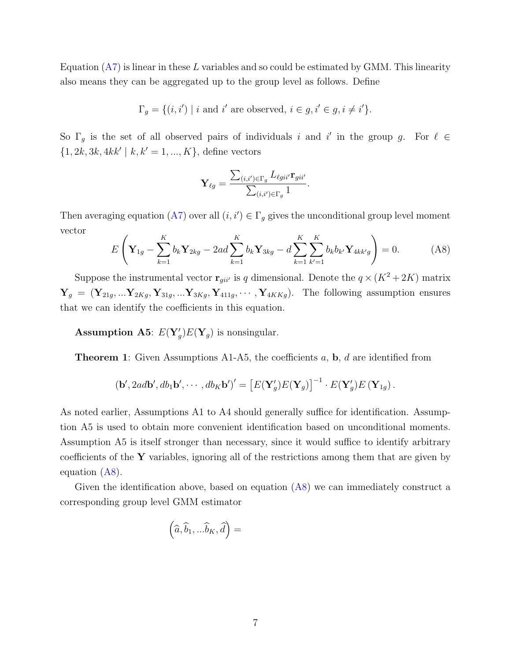Equation  $(A7)$  is linear in these L variables and so could be estimated by GMM. This linearity also means they can be aggregated up to the group level as follows. Define

$$
\Gamma_g = \{ (i, i') \mid i \text{ and } i' \text{ are observed, } i \in g, i' \in g, i \neq i' \}.
$$

So  $\Gamma_g$  is the set of all observed pairs of individuals i and i' in the group g. For  $\ell \in$  $\{1, 2k, 3k, 4kk' \mid k, k' = 1, ..., K\}$ , define vectors

$$
\mathbf{Y}_{\ell g} = \frac{\sum_{(i,i') \in \Gamma_g} L_{\ell g i i'} \mathbf{r}_{g i i'}}{\sum_{(i,i') \in \Gamma_g} 1}.
$$

Then averaging equation [\(A7\)](#page-5-1) over all  $(i, i') \in \Gamma_g$  gives the unconditional group level moment vector

<span id="page-6-0"></span>
$$
E\left(\mathbf{Y}_{1g} - \sum_{k=1}^{K} b_k \mathbf{Y}_{2kg} - 2ad \sum_{k=1}^{K} b_k \mathbf{Y}_{3kg} - d \sum_{k=1}^{K} \sum_{k'=1}^{K} b_k b_{k'} \mathbf{Y}_{4kk'g} \right) = 0.
$$
 (A8)

Suppose the instrumental vector  $\mathbf{r}_{gi'j}$  is q dimensional. Denote the  $q \times (K^2 + 2K)$  matrix  $\mathbf{Y}_g = (\mathbf{Y}_{21g}, \dots \mathbf{Y}_{2Kg}, \mathbf{Y}_{31g}, \dots \mathbf{Y}_{3Kg}, \mathbf{Y}_{411g}, \dots, \mathbf{Y}_{4KKg}).$  The following assumption ensures that we can identify the coefficients in this equation.

#### **Assumption A5:**  $E(Y'_g)E(Y_g)$  is nonsingular.

**Theorem 1:** Given Assumptions A1-A5, the coefficients  $a$ ,  $b$ ,  $d$  are identified from

$$
(\mathbf{b}', 2ad\mathbf{b}', db_1\mathbf{b}', \cdots, db_K\mathbf{b}')' = \left[E(\mathbf{Y}'_g)E(\mathbf{Y}_g)\right]^{-1} \cdot E(\mathbf{Y}'_g)E(\mathbf{Y}_{1g}).
$$

As noted earlier, Assumptions A1 to A4 should generally suffice for identification. Assumption A5 is used to obtain more convenient identification based on unconditional moments. Assumption A5 is itself stronger than necessary, since it would suffice to identify arbitrary coefficients of the  $\bf{Y}$  variables, ignoring all of the restrictions among them that are given by equation [\(A8\)](#page-6-0).

Given the identification above, based on equation  $(AB)$  we can immediately construct a corresponding group level GMM estimator

$$
\left(\widehat{a},\widehat{b}_1,...\widehat{b}_K,\widehat{d}\right)=
$$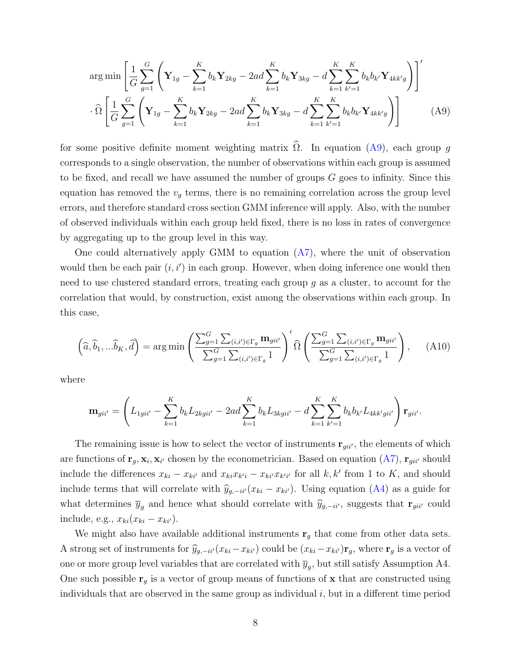<span id="page-7-0"></span>
$$
\arg\min \left[ \frac{1}{G} \sum_{g=1}^{G} \left( \mathbf{Y}_{1g} - \sum_{k=1}^{K} b_k \mathbf{Y}_{2kg} - 2ad \sum_{k=1}^{K} b_k \mathbf{Y}_{3kg} - d \sum_{k=1}^{K} \sum_{k'=1}^{K} b_k b_{k'} \mathbf{Y}_{4kk'g} \right) \right]'
$$
  

$$
\cdot \widehat{\Omega} \left[ \frac{1}{G} \sum_{g=1}^{G} \left( \mathbf{Y}_{1g} - \sum_{k=1}^{K} b_k \mathbf{Y}_{2kg} - 2ad \sum_{k=1}^{K} b_k \mathbf{Y}_{3kg} - d \sum_{k=1}^{K} \sum_{k'=1}^{K} b_k b_{k'} \mathbf{Y}_{4kk'g} \right) \right]
$$
(A9)

for some positive definite moment weighting matrix  $\hat{\Omega}$ . In equation ([A9\)](#page-7-0), each group g corresponds to a single observation, the number of observations within each group is assumed to be fixed, and recall we have assumed the number of groups G goes to infinity. Since this equation has removed the  $v_q$  terms, there is no remaining correlation across the group level errors, and therefore standard cross section GMM inference will apply. Also, with the number of observed individuals within each group held fixed, there is no loss in rates of convergence by aggregating up to the group level in this way.

One could alternatively apply GMM to equation [\(A7\)](#page-5-1), where the unit of observation would then be each pair  $(i, i')$  in each group. However, when doing inference one would then need to use clustered standard errors, treating each group  $q$  as a cluster, to account for the correlation that would, by construction, exist among the observations within each group. In this case,

$$
\left(\widehat{a}, \widehat{b}_1, \ldots \widehat{b}_K, \widehat{d}\right) = \arg\min\left(\frac{\sum_{g=1}^G \sum_{(i,i') \in \Gamma_g} \mathbf{m}_{gii'}}{\sum_{g=1}^G \sum_{(i,i') \in \Gamma_g} 1}\right)' \widehat{\Omega}\left(\frac{\sum_{g=1}^G \sum_{(i,i') \in \Gamma_g} \mathbf{m}_{gii'}}{\sum_{g=1}^G \sum_{(i,i') \in \Gamma_g} 1}\right),\tag{A10}
$$

where

$$
\mathbf{m}_{gii'} = \left( L_{1gii'} - \sum_{k=1}^{K} b_k L_{2kgii'} - 2ad \sum_{k=1}^{K} b_k L_{3kgii'} - d \sum_{k=1}^{K} \sum_{k'=1}^{K} b_k b_{k'} L_{4kk'gii'} \right) \mathbf{r}_{gii'}.
$$

The remaining issue is how to select the vector of instruments  $\mathbf{r}_{gi'}$ , the elements of which are functions of  $\mathbf{r}_g, \mathbf{x}_i, \mathbf{x}_{i'}$  chosen by the econometrician. Based on equation  $(A7)$ ,  $\mathbf{r}_{gi i'}$  should include the differences  $x_{ki} - x_{ki'}$  and  $x_{ki}x_{k'i} - x_{ki'}x_{k'i'}$  for all k, k' from 1 to K, and should include terms that will correlate with  $\hat{y}_{g,-ii'}(x_{ki} - x_{ki'})$ . Using equation [\(A4\)](#page-3-1) as a guide for what determines  $\bar{y}_g$  and hence what should correlate with  $\hat{y}_{g,-ii'}$ , suggests that  $\mathbf{r}_{gii'}$  could include, e.g.,  $x_{ki}(x_{ki} - x_{ki}).$ 

We might also have available additional instruments  $\mathbf{r}_g$  that come from other data sets. A strong set of instruments for  $\hat{y}_{g,-ii'}(x_{ki}-x_{ki'})$  could be  $(x_{ki}-x_{ki'})\mathbf{r}_g$ , where  $\mathbf{r}_g$  is a vector of one or more group level variables that are correlated with  $\overline{y}_g$ , but still satisfy Assumption A4. One such possible  $r_g$  is a vector of group means of functions of  $x$  that are constructed using individuals that are observed in the same group as individual  $i$ , but in a different time period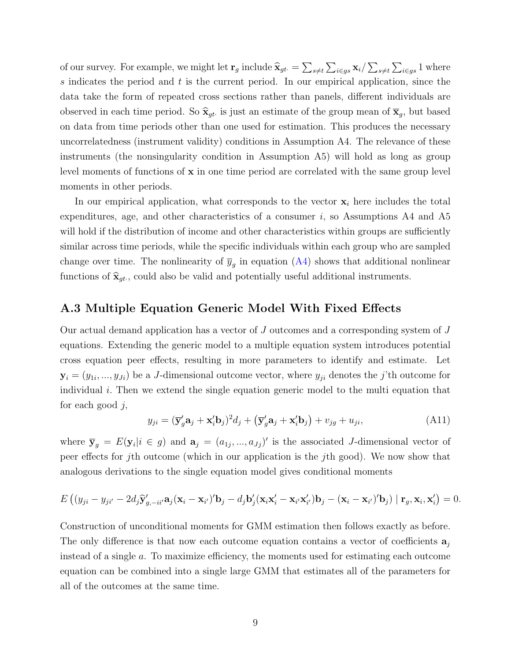of our survey. For example, we might let  $\mathbf{r}_g$  include  $\hat{\mathbf{x}}_{gt} = \sum_{s \neq t} \sum_{i \in gs} \mathbf{x}_i / \sum_{s \neq t} \sum_{i \in gs} 1$  where s indicates the period and  $t$  is the current period. In our empirical application, since the data take the form of repeated cross sections rather than panels, different individuals are observed in each time period. So  $\hat{\mathbf{x}}_{gt}$  is just an estimate of the group mean of  $\overline{\mathbf{x}}_g$ , but based on data from time periods other than one used for estimation. This produces the necessary uncorrelatedness (instrument validity) conditions in Assumption A4. The relevance of these instruments (the nonsingularity condition in Assumption A5) will hold as long as group level moments of functions of  $x$  in one time period are correlated with the same group level moments in other periods.

In our empirical application, what corresponds to the vector  $x_i$  here includes the total expenditures, age, and other characteristics of a consumer  $i$ , so Assumptions A4 and A5 will hold if the distribution of income and other characteristics within groups are sufficiently similar across time periods, while the specific individuals within each group who are sampled change over time. The nonlinearity of  $\overline{y}_g$  in equation [\(A4\)](#page-3-1) shows that additional nonlinear functions of  $\hat{\mathbf{x}}_{gt}$ , could also be valid and potentially useful additional instruments.

#### A.3 Multiple Equation Generic Model With Fixed Effects

Our actual demand application has a vector of J outcomes and a corresponding system of J equations. Extending the generic model to a multiple equation system introduces potential cross equation peer effects, resulting in more parameters to identify and estimate. Let  $\mathbf{y}_i = (y_{1i},..., y_{Ji})$  be a J-dimensional outcome vector, where  $y_{ji}$  denotes the j'th outcome for individual  $i$ . Then we extend the single equation generic model to the multi equation that for each good  $i$ ,

<span id="page-8-0"></span>
$$
y_{ji} = (\overline{\mathbf{y}}_g' \mathbf{a}_j + \mathbf{x}_i' \mathbf{b}_j)^2 d_j + (\overline{\mathbf{y}}_g' \mathbf{a}_j + \mathbf{x}_i' \mathbf{b}_j) + v_{jg} + u_{ji},\tag{A11}
$$

where  $\bar{y}_g = E(y_i | i \in g)$  and  $a_j = (a_{1j},...,a_{Jj})'$  is the associated J-dimensional vector of peer effects for jth outcome (which in our application is the jth good). We now show that analogous derivations to the single equation model gives conditional moments

$$
E\left((y_{ji}-y_{ji'}-2d_j\hat{\mathbf{y}}'_{g,-ii'}\mathbf{a}_j(\mathbf{x}_i-\mathbf{x}_{i'})'\mathbf{b}_j-d_j\mathbf{b}'_j(\mathbf{x}_i\mathbf{x}'_i-\mathbf{x}_{i'}\mathbf{x}'_{i'})\mathbf{b}_j-(\mathbf{x}_i-\mathbf{x}_{i'})'\mathbf{b}_j)\mid\mathbf{r}_g,\mathbf{x}_i,\mathbf{x}'_i\right)=0.
$$

Construction of unconditional moments for GMM estimation then follows exactly as before. The only difference is that now each outcome equation contains a vector of coefficients  $a_i$ instead of a single a. To maximize efficiency, the moments used for estimating each outcome equation can be combined into a single large GMM that estimates all of the parameters for all of the outcomes at the same time.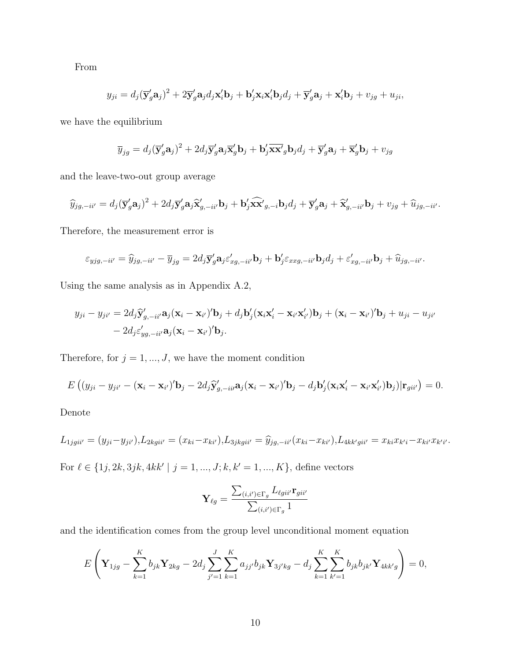From

$$
y_{ji} = d_j(\overline{\mathbf{y}}_g'\mathbf{a}_j)^2 + 2\overline{\mathbf{y}}_g'\mathbf{a}_j d_j \mathbf{x}_i' \mathbf{b}_j + \mathbf{b}_j' \mathbf{x}_i \mathbf{x}_i' \mathbf{b}_j d_j + \overline{\mathbf{y}}_g' \mathbf{a}_j + \mathbf{x}_i' \mathbf{b}_j + v_{jg} + u_{ji},
$$

we have the equilibrium

$$
\overline{y}_{jg} = d_j(\overline{\mathbf{y}}_g'\mathbf{a}_j)^2 + 2d_j\overline{\mathbf{y}}_g'\mathbf{a}_j\overline{\mathbf{x}}_g'\mathbf{b}_j + \mathbf{b}_j'\overline{\mathbf{x}\mathbf{x}}_g'\mathbf{b}_jd_j + \overline{\mathbf{y}}_g'\mathbf{a}_j + \overline{\mathbf{x}}_g'\mathbf{b}_j + v_{jg}
$$

and the leave-two-out group average

$$
\widehat{y}_{jg,-ii'} = d_j (\overline{\mathbf{y}}_g' \mathbf{a}_j)^2 + 2d_j \overline{\mathbf{y}}_g' \mathbf{a}_j \widehat{\mathbf{x}}_{g,-ii'}' \mathbf{b}_j + \mathbf{b}_j' \widehat{\mathbf{x}} \widehat{\mathbf{x}}_{g,-i} \mathbf{b}_j d_j + \overline{\mathbf{y}}_g' \mathbf{a}_j + \widehat{\mathbf{x}}_{g,-ii'}' \mathbf{b}_j + v_{jg} + \widehat{u}_{jg,-ii'}.
$$

Therefore, the measurement error is

$$
\varepsilon_{yjg,-ii'} = \widehat{y}_{jg,-ii'} - \overline{y}_{jg} = 2d_j \overline{\mathbf{y}}_g' \mathbf{a}_j \varepsilon_{xg,-ii'}' \mathbf{b}_j + \mathbf{b}_j' \varepsilon_{xxg,-ii'} \mathbf{b}_j d_j + \varepsilon_{xg,-ii'}' \mathbf{b}_j + \widehat{u}_{jg,-ii'}.
$$

Using the same analysis as in Appendix A.2,

$$
y_{ji} - y_{ji'} = 2d_j \hat{\mathbf{y}}'_{g, -ii'} \mathbf{a}_j (\mathbf{x}_i - \mathbf{x}_{i'})' \mathbf{b}_j + d_j \mathbf{b}'_j (\mathbf{x}_i \mathbf{x}'_i - \mathbf{x}_{i'} \mathbf{x}'_{i'}) \mathbf{b}_j + (\mathbf{x}_i - \mathbf{x}_{i'})' \mathbf{b}_j + u_{ji} - u_{ji'} - 2d_j \varepsilon'_{yg, -ii'} \mathbf{a}_j (\mathbf{x}_i - \mathbf{x}_{i'})' \mathbf{b}_j.
$$

Therefore, for  $j = 1, ..., J$ , we have the moment condition

$$
E\left((y_{ji}-y_{ji'}-(\mathbf{x}_i-\mathbf{x}_{i'})'\mathbf{b}_j-2d_j\hat{\mathbf{y}}'_{g,-ii'}\mathbf{a}_j(\mathbf{x}_i-\mathbf{x}_{i'})'\mathbf{b}_j-d_j\mathbf{b}'_j(\mathbf{x}_i\mathbf{x}'_i-\mathbf{x}_{i'}\mathbf{x}'_i)\mathbf{b}_j)|\mathbf{r}_{gii'}\right)=0.
$$

Denote

$$
L_{1jgii'} = (y_{ji} - y_{ji'}), L_{2kgii'} = (x_{ki} - x_{ki'}), L_{3jkgii'} = \hat{y}_{jg, -ii'}(x_{ki} - x_{ki'}), L_{4kk'gii'} = x_{ki}x_{k'i} - x_{ki'}x_{k'i'}.
$$

For  $\ell \in \{1j, 2k, 3jk, 4kk' \mid j = 1, ..., J; k, k' = 1, ..., K\}$ , define vectors

$$
\mathbf{Y}_{\ell g} = \frac{\sum_{(i,i') \in \Gamma_g} L_{\ell g i i'} \mathbf{r}_{g i i'}}{\sum_{(i,i') \in \Gamma_g} 1}
$$

and the identification comes from the group level unconditional moment equation

$$
E\left(\mathbf{Y}_{1jg} - \sum_{k=1}^{K} b_{jk}\mathbf{Y}_{2kg} - 2d_j \sum_{j'=1}^{J} \sum_{k=1}^{K} a_{jj'}b_{jk}\mathbf{Y}_{3j'kg} - d_j \sum_{k=1}^{K} \sum_{k'=1}^{K} b_{jk}b_{jk'}\mathbf{Y}_{4kk'g}\right) = 0,
$$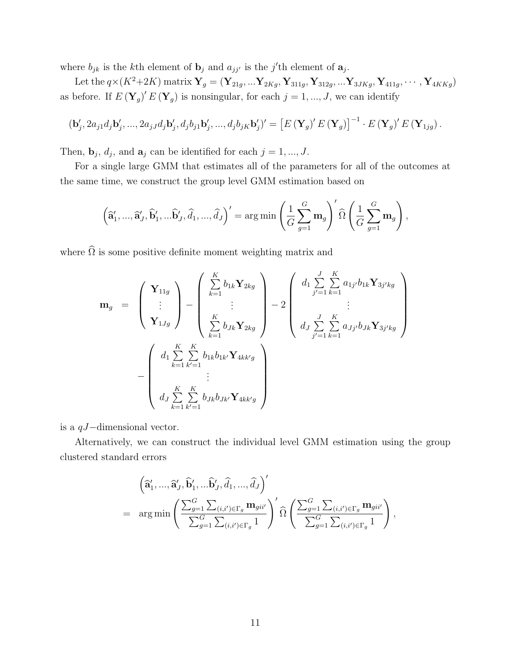where  $b_{jk}$  is the k<sup>th</sup> element of  $\mathbf{b}_j$  and  $a_{jj'}$  is the j'th element of  $\mathbf{a}_j$ .

Let the  $q \times (K^2 + 2K)$  matrix  $Y_g = (Y_{21g},...Y_{2Kg}, Y_{311g}, Y_{312g},...Y_{3JKg}, Y_{411g},..., Y_{4KKg})$ as before. If  $E(\mathbf{Y}_g)' E(\mathbf{Y}_g)$  is nonsingular, for each  $j = 1, ..., J$ , we can identify

$$
(\mathbf{b}'_j, 2a_{j1}d_j\mathbf{b}'_j, ..., 2a_{jJ}d_j\mathbf{b}'_j, d_jb_{j1}\mathbf{b}'_j, ..., d_jb_{jK}\mathbf{b}'_j)' = \left[E\left(\mathbf{Y}_g\right)'E\left(\mathbf{Y}_g\right)\right]^{-1} \cdot E\left(\mathbf{Y}_g\right)'E\left(\mathbf{Y}_{1jg}\right).
$$

Then,  $\mathbf{b}_j$ ,  $d_j$ , and  $\mathbf{a}_j$  can be identified for each  $j = 1, ..., J$ .

For a single large GMM that estimates all of the parameters for all of the outcomes at the same time, we construct the group level GMM estimation based on

$$
\left(\widehat{\mathbf{a}}'_1, ..., \widehat{\mathbf{a}}'_J, \widehat{\mathbf{b}}'_1, ..., \widehat{\mathbf{b}}'_J, \widehat{d}_1, ..., \widehat{d}_J\right)' = \arg\min\left(\frac{1}{G}\sum_{g=1}^G \mathbf{m}_g\right)' \widehat{\Omega}\left(\frac{1}{G}\sum_{g=1}^G \mathbf{m}_g\right),
$$

where  $\widehat{\Omega}$  is some positive definite moment weighting matrix and

$$
\mathbf{m}_{g} = \begin{pmatrix} \mathbf{Y}_{11g} \\ \vdots \\ \mathbf{Y}_{1Jg} \end{pmatrix} - \begin{pmatrix} \sum_{k=1}^{K} b_{1k} \mathbf{Y}_{2kg} \\ \vdots \\ \sum_{k=1}^{K} b_{Jk} \mathbf{Y}_{2kg} \end{pmatrix} - 2 \begin{pmatrix} d_{1} \sum_{j'=1}^{J} \sum_{k=1}^{K} a_{1j'} b_{1k} \mathbf{Y}_{3j'kg} \\ \vdots \\ d_{J} \sum_{j'=1}^{J} \sum_{k=1}^{K} a_{Jj'} b_{Jk} \mathbf{Y}_{3j'kg} \end{pmatrix}
$$

$$
- \begin{pmatrix} d_{1} \sum_{k=1}^{K} \sum_{k'=1}^{K} b_{1k} b_{1k'} \mathbf{Y}_{4kk'g} \\ \vdots \\ d_{J} \sum_{k=1}^{K} \sum_{k'=1}^{K} b_{Jk} b_{Jk'} \mathbf{Y}_{4kk'g} \end{pmatrix}
$$

is a qJ−dimensional vector.

Alternatively, we can construct the individual level GMM estimation using the group clustered standard errors

$$
\left(\widehat{\mathbf{a}}'_1, ..., \widehat{\mathbf{a}}'_J, \widehat{\mathbf{b}}'_1, ..., \widehat{\mathbf{b}}'_J, \widehat{d}_1, ..., \widehat{d}_J\right)'
$$
\n
$$
= \arg\min\left(\frac{\sum_{g=1}^G \sum_{(i,i') \in \Gamma_g} \mathbf{m}_{gii'}}{\sum_{g=1}^G \sum_{(i,i') \in \Gamma_g} 1}\right)' \widehat{\Omega}\left(\frac{\sum_{g=1}^G \sum_{(i,i') \in \Gamma_g} \mathbf{m}_{gii'}}{\sum_{g=1}^G \sum_{(i,i') \in \Gamma_g} 1}\right),
$$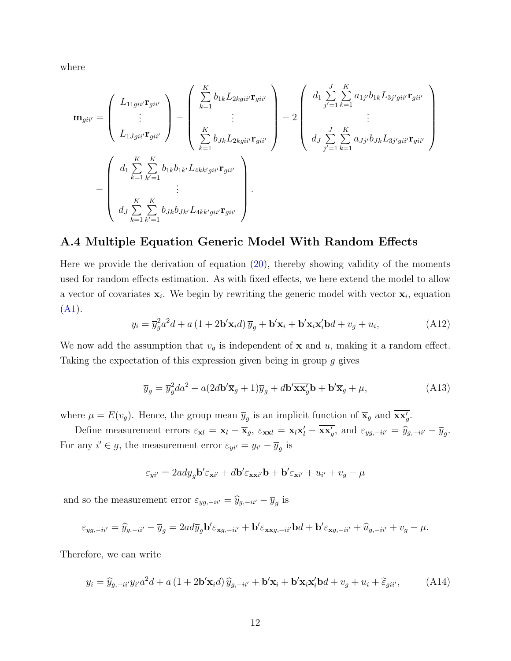where

$$
\mathbf{m}_{gii'} = \begin{pmatrix} L_{11gi i'} \mathbf{r}_{gii'} \\ \vdots \\ L_{1Jgi i'} \mathbf{r}_{gii'} \end{pmatrix} - \begin{pmatrix} \sum_{k=1}^{K} b_{1k} L_{2kgii'} \mathbf{r}_{gii'} \\ \vdots \\ \sum_{k=1}^{K} b_{Jk} L_{2kgii'} \mathbf{r}_{gii'} \end{pmatrix} - 2 \begin{pmatrix} d_1 \sum_{j'=1}^{J} \sum_{k=1}^{K} a_{1j'} b_{1k} L_{3j'gii'} \mathbf{r}_{gii'} \\ \vdots \\ d_J \sum_{j'=1}^{J} \sum_{k=1}^{K} a_{Jj'} b_{Jk} L_{3j'gii'} \mathbf{r}_{gii'} \end{pmatrix} - \begin{pmatrix} d_1 \sum_{j'=1}^{J} \sum_{k=1}^{K} a_{1j'} b_{1k} L_{3j'gii'} \mathbf{r}_{gii'} \\ \vdots \\ d_J \sum_{k=1}^{K} \sum_{k'=1}^{K} b_{Jk} b_{1k'} L_{4kk'gii'} \mathbf{r}_{gii'} \end{pmatrix}.
$$

#### A.4 Multiple Equation Generic Model With Random Effects

Here we provide the derivation of equation  $(20)$ , thereby showing validity of the moments used for random effects estimation. As with fixed effects, we here extend the model to allow a vector of covariates  $x_i$ . We begin by rewriting the generic model with vector  $x_i$ , equation [\(A1\)](#page-1-0).

$$
y_i = \overline{y}_g^2 a^2 d + a \left(1 + 2\mathbf{b}' \mathbf{x}_i d\right) \overline{y}_g + \mathbf{b}' \mathbf{x}_i + \mathbf{b}' \mathbf{x}_i \mathbf{x}'_i \mathbf{b} d + v_g + u_i,\tag{A12}
$$

We now add the assumption that  $v_g$  is independent of **x** and u, making it a random effect. Taking the expectation of this expression given being in group g gives

$$
\overline{y}_g = \overline{y}_g^2 da^2 + a(2d\mathbf{b}' \overline{\mathbf{x}}_g + 1)\overline{y}_g + d\mathbf{b}' \overline{\mathbf{x}} \overline{\mathbf{x}}_g' \mathbf{b} + \mathbf{b}' \overline{\mathbf{x}}_g + \mu,
$$
\n(A13)

where  $\mu = E(v_g)$ . Hence, the group mean  $\overline{y}_g$  is an implicit function of  $\overline{\mathbf{x}}_g$  and  $\overline{\mathbf{x}\mathbf{x}}'_g$ .

Define measurement errors  $\varepsilon_{\mathbf{x}l} = \mathbf{x}_l - \overline{\mathbf{x}}_g$ ,  $\varepsilon_{\mathbf{x}\mathbf{x}l} = \mathbf{x}_l\mathbf{x}'_l - \overline{\mathbf{x}\mathbf{x}'_g}$ , and  $\varepsilon_{yg, -ii'} = \hat{y}_{g, -ii'} - \overline{y}_g$ . For any  $i' \in g$ , the measurement error  $\varepsilon_{yi'} = y_{i'} - \overline{y}_g$  is

$$
\varepsilon_{yi'} = 2ad\overline{y}_g \mathbf{b}' \varepsilon_{\mathbf{x}i'} + d\mathbf{b}' \varepsilon_{\mathbf{x}i'} \mathbf{b} + \mathbf{b}' \varepsilon_{\mathbf{x}i'} + u_{i'} + v_g - \mu
$$

and so the measurement error  $\varepsilon_{yg,-ii'} = \widehat{y}_{g,-ii'} - \overline{y}_g$  is

$$
\varepsilon_{yg,-ii'} = \widehat{y}_{g,-ii'} - \overline{y}_g = 2ad\overline{y}_g \mathbf{b}' \varepsilon_{\mathbf{x}g,-ii'} + \mathbf{b}' \varepsilon_{\mathbf{x}g,-ii'} \mathbf{b}d + \mathbf{b}' \varepsilon_{\mathbf{x}g,-ii'} + \widehat{u}_{g,-ii'} + v_g - \mu.
$$

Therefore, we can write

<span id="page-11-0"></span>
$$
y_i = \hat{y}_{g, -i i'} y_{i'} a^2 d + a (1 + 2\mathbf{b'} \mathbf{x}_i d) \hat{y}_{g, -i i'} + \mathbf{b'} \mathbf{x}_i + \mathbf{b'} \mathbf{x}_i \mathbf{x}_i' \mathbf{b} d + v_g + u_i + \tilde{\varepsilon}_{g i i'}, \tag{A14}
$$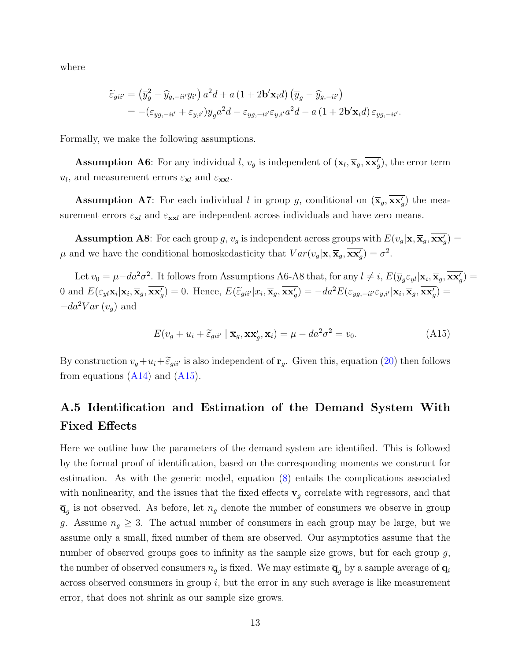where

$$
\begin{split} \widetilde{\varepsilon}_{gii'} &= \left(\overline{y}_g^2 - \widehat{y}_{g,-ii'} y_{i'}\right) a^2 d + a \left(1 + 2\mathbf{b}' \mathbf{x}_i d\right) \left(\overline{y}_g - \widehat{y}_{g,-ii'}\right) \\ &= -\left(\varepsilon_{yg,-ii'} + \varepsilon_{y,i'}\right) \overline{y}_g a^2 d - \varepsilon_{yg,-ii'} \varepsilon_{y,i'} a^2 d - a \left(1 + 2\mathbf{b}' \mathbf{x}_i d\right) \varepsilon_{yg,-ii'}.\end{split}
$$

Formally, we make the following assumptions.

**Assumption A6**: For any individual l,  $v_g$  is independent of  $(\mathbf{x}_l, \overline{\mathbf{x}}_g, \overline{\mathbf{x}\mathbf{x}'_g})$ , the error term  $u_l$ , and measurement errors  $\varepsilon_{\mathbf{x}l}$  and  $\varepsilon_{\mathbf{x}\mathbf{x}l}$ .

**Assumption A7**: For each individual l in group g, conditional on  $(\overline{\mathbf{x}}_g, \overline{\mathbf{x}\mathbf{x}'_g})$  the measurement errors  $\varepsilon_{\mathbf{x}l}$  and  $\varepsilon_{\mathbf{x}l}$  are independent across individuals and have zero means.

**Assumption A8**: For each group g,  $v_g$  is independent across groups with  $E(v_g|\mathbf{x}, \overline{\mathbf{x}}_g, \overline{\mathbf{x}}_g)'$  $\mu$  and we have the conditional homoskedasticity that  $Var(v_g|\mathbf{x}, \overline{\mathbf{x}}_g, \overline{\mathbf{x}\mathbf{x}}_g') = \sigma^2$ .

Let  $v_0 = \mu - da^2 \sigma^2$ . It follows from Assumptions A6-A8 that, for any  $l \neq i$ ,  $E(\overline{y}_g \varepsilon_{yl} | \mathbf{x}_i, \overline{\mathbf{x}}_g, \overline{\mathbf{x} \mathbf{x}'_g}) =$ 0 and  $E(\varepsilon_{yl}\mathbf{x}_i|\mathbf{x}_i, \overline{\mathbf{x}}_g, \overline{\mathbf{x}\mathbf{x}'_g}) = 0$ . Hence,  $E(\widetilde{\varepsilon}_{gii'}|x_i, \overline{\mathbf{x}}_g, \overline{\mathbf{x}\mathbf{x}'_g}) = -da^2 E(\varepsilon_{yg, -ii'}\varepsilon_{y,i'}|\mathbf{x}_i, \overline{\mathbf{x}}_g, \overline{\mathbf{x}\mathbf{x}'_g}) =$  $-da^2Var(v_q)$  and

<span id="page-12-0"></span>
$$
E(v_g + u_i + \tilde{\varepsilon}_{gi} \mid \overline{\mathbf{x}}_g, \overline{\mathbf{x}\mathbf{x}'_g}, \mathbf{x}_i) = \mu - da^2 \sigma^2 = v_0.
$$
 (A15)

By construction  $v_g + u_i + \tilde{\epsilon}_{gii'}$  is also independent of  $\mathbf{r}_g$ . Given this, equation [\(20\)](#page-0-1) then follows from equations  $(A14)$  and  $(A15)$ .

## A.5 Identification and Estimation of the Demand System With Fixed Effects

Here we outline how the parameters of the demand system are identified. This is followed by the formal proof of identification, based on the corresponding moments we construct for estimation. As with the generic model, equation [\(8\)](#page-0-1) entails the complications associated with nonlinearity, and the issues that the fixed effects  $\mathbf{v}_g$  correlate with regressors, and that  $\overline{\mathbf{q}}_g$  is not observed. As before, let  $n_g$  denote the number of consumers we observe in group g. Assume  $n_g \geq 3$ . The actual number of consumers in each group may be large, but we assume only a small, fixed number of them are observed. Our asymptotics assume that the number of observed groups goes to infinity as the sample size grows, but for each group  $g$ , the number of observed consumers  $n_g$  is fixed. We may estimate  $\overline{\mathbf{q}}_g$  by a sample average of  $\mathbf{q}_i$ across observed consumers in group  $i$ , but the error in any such average is like measurement error, that does not shrink as our sample size grows.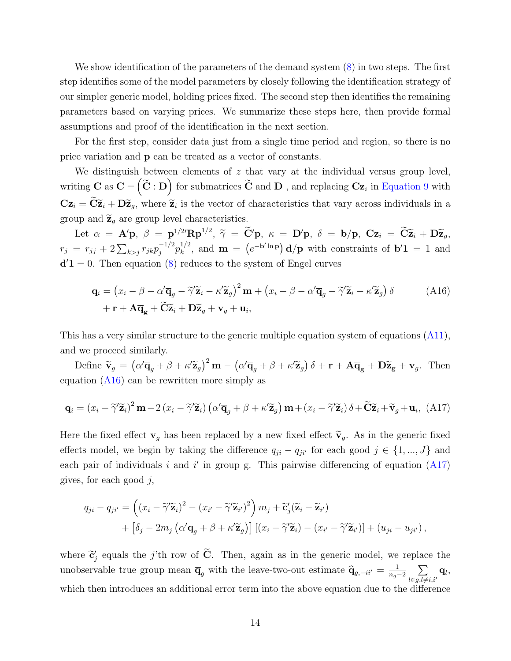We show identification of the parameters of the demand system [\(8\)](#page-0-1) in two steps. The first step identifies some of the model parameters by closely following the identification strategy of our simpler generic model, holding prices fixed. The second step then identifies the remaining parameters based on varying prices. We summarize these steps here, then provide formal assumptions and proof of the identification in the next section.

For the first step, consider data just from a single time period and region, so there is no price variation and p can be treated as a vector of constants.

We distinguish between elements of  $z$  that vary at the individual versus group level, writing  $C$  as  $C = \left(\widetilde{C} : D\right)$  for submatrices  $\widetilde{C}$  and  $D$  , and replacing  $Cz_i$  in [Equation 9](#page-0-1) with  $\mathbf{Cz}_i = \mathbf{C\widetilde{z}}_i + \mathbf{D\widetilde{z}}_g$ , where  $\widetilde{z}_i$  is the vector of characteristics that vary across individuals in a group and  $\widetilde{\mathbf{z}}_g$  are group level characteristics.

Let  $\alpha = \mathbf{A}'\mathbf{p}$ ,  $\beta = \mathbf{p}^{1/2'}\mathbf{R}\mathbf{p}^{1/2}$ ,  $\widetilde{\gamma} = \widetilde{\mathbf{C}}'\mathbf{p}$ ,  $\kappa = \mathbf{D}'\mathbf{p}$ ,  $\delta = \mathbf{b}/\mathbf{p}$ ,  $\mathbf{Cz}_i = \widetilde{\mathbf{C}}\widetilde{\mathbf{z}}_i + \mathbf{D}\widetilde{\mathbf{z}}_g$ ,  $r_j = r_{jj} + 2\sum_{k>j} r_{jk} p_j^{-1/2}$  $j^{-1/2} p_k^{1/2}$  $\mathbf{h}_k^{1/2}$ , and  $\mathbf{m} = (e^{-\mathbf{b}'\ln \mathbf{p}}) \mathbf{d}/\mathbf{p}$  with constraints of  $\mathbf{b}'\mathbf{1} = 1$  and  $d'1 = 0$ . Then equation [\(8\)](#page-0-1) reduces to the system of Engel curves

<span id="page-13-0"></span>
$$
\mathbf{q}_{i} = (x_{i} - \beta - \alpha' \overline{\mathbf{q}}_{g} - \widetilde{\gamma}' \widetilde{\mathbf{z}}_{i} - \kappa' \widetilde{\mathbf{z}}_{g})^{2} \mathbf{m} + (x_{i} - \beta - \alpha' \overline{\mathbf{q}}_{g} - \widetilde{\gamma}' \widetilde{\mathbf{z}}_{i} - \kappa' \widetilde{\mathbf{z}}_{g}) \delta
$$
(A16)  
 
$$
+ \mathbf{r} + \mathbf{A} \overline{\mathbf{q}}_{g} + \widetilde{\mathbf{C}} \widetilde{\mathbf{z}}_{i} + \mathbf{D} \widetilde{\mathbf{z}}_{g} + \mathbf{v}_{g} + \mathbf{u}_{i},
$$

This has a very similar structure to the generic multiple equation system of equations [\(A11\)](#page-8-0), and we proceed similarly.

Define  $\tilde{\mathbf{v}}_g = (\alpha' \overline{\mathbf{q}}_g + \beta + \kappa' \widetilde{\mathbf{z}}_g)^2 \mathbf{m} - (\alpha' \overline{\mathbf{q}}_g + \beta + \kappa' \widetilde{\mathbf{z}}_g) \delta + \mathbf{r} + \mathbf{A} \overline{\mathbf{q}}_g + \mathbf{D} \widetilde{\mathbf{z}}_g + \mathbf{v}_g$ . Then equation  $(A16)$  can be rewritten more simply as

<span id="page-13-1"></span>
$$
\mathbf{q}_{i} = (x_{i} - \tilde{\gamma}'\tilde{\mathbf{z}}_{i})^{2} \mathbf{m} - 2(x_{i} - \tilde{\gamma}'\tilde{\mathbf{z}}_{i}) (\alpha'\overline{\mathbf{q}}_{g} + \beta + \kappa'\tilde{\mathbf{z}}_{g}) \mathbf{m} + (x_{i} - \tilde{\gamma}'\tilde{\mathbf{z}}_{i}) \delta + \tilde{\mathbf{C}}\tilde{\mathbf{z}}_{i} + \tilde{\mathbf{v}}_{g} + \mathbf{u}_{i}, \text{ (A17)}
$$

Here the fixed effect  $\mathbf{v}_q$  has been replaced by a new fixed effect  $\widetilde{\mathbf{v}}_q$ . As in the generic fixed effects model, we begin by taking the difference  $q_{ji} - q_{ji'}$  for each good  $j \in \{1, ..., J\}$  and each pair of individuals i and i' in group g. This pairwise differencing of equation  $(A17)$ gives, for each good  $j$ ,

$$
q_{ji} - q_{ji'} = \left( (x_i - \tilde{\gamma}' \tilde{\mathbf{z}}_i)^2 - (x_{i'} - \tilde{\gamma}' \tilde{\mathbf{z}}_{i'})^2 \right) m_j + \tilde{\mathbf{c}}'_j (\tilde{\mathbf{z}}_i - \tilde{\mathbf{z}}_{i'})
$$
  
+ 
$$
\left[ \delta_j - 2m_j \left( \alpha' \overline{\mathbf{q}}_g + \beta + \kappa' \tilde{\mathbf{z}}_g \right) \right] \left[ (x_i - \tilde{\gamma}' \tilde{\mathbf{z}}_i) - (x_{i'} - \tilde{\gamma}' \tilde{\mathbf{z}}_{i'}) \right] + (u_{ji} - u_{ji'}),
$$

where  $\tilde{\mathbf{c}}'_{j}$  equals the j'th row of  $\tilde{\mathbf{C}}$ . Then, again as in the generic model, we replace the unobservable true group mean  $\overline{\mathbf{q}}_g$  with the leave-two-out estimate  $\widehat{\mathbf{q}}_{g,-ii'} = \frac{1}{n_g}$  $\frac{1}{n_g-2}$   $\sum$  $l \in g, l \neq i, i'$  $\mathbf{q}_l,$ which then introduces an additional error term into the above equation due to the difference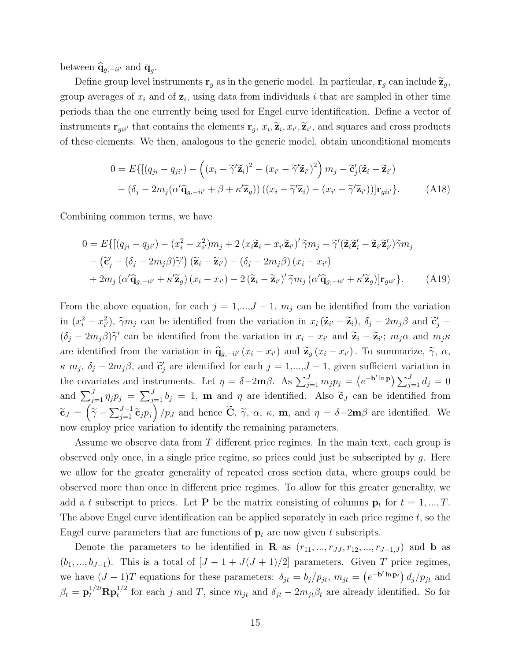between  $\widehat{\mathbf{q}}_{g,-ii'}$  and  $\overline{\mathbf{q}}_g$ .

Define group level instruments  $\mathbf{r}_g$  as in the generic model. In particular,  $\mathbf{r}_g$  can include  $\widetilde{\mathbf{z}}_g$ , group averages of  $x_i$  and of  $z_i$ , using data from individuals i that are sampled in other time periods than the one currently being used for Engel curve identification. Define a vector of instruments  $\mathbf{r}_{gii'}$  that contains the elements  $\mathbf{r}_g$ ,  $x_i$ ,  $\widetilde{\mathbf{z}}_i$ ,  $x_{i'}$ ,  $\widetilde{\mathbf{z}}_i$ , and squares and cross products of these elements. We then, analogous to the generic model, obtain unconditional moments

$$
0 = E\{[(q_{ji} - q_{ji'}) - ((x_i - \tilde{\gamma}' \tilde{\mathbf{z}}_i)^2 - (x_{i'} - \tilde{\gamma}' \tilde{\mathbf{z}}_{i'})^2)m_j - \tilde{\mathbf{c}}'_j(\tilde{\mathbf{z}}_i - \tilde{\mathbf{z}}_{i'}) - (\delta_j - 2m_j(\alpha' \hat{\mathbf{q}}_{g, -i i'} + \beta + \kappa' \tilde{\mathbf{z}}_g))((x_i - \tilde{\gamma}' \tilde{\mathbf{z}}_i) - (x_{i'} - \tilde{\gamma}' \tilde{\mathbf{z}}_{i'}))|\mathbf{r}_{g i i'}\}.
$$
 (A18)

Combining common terms, we have

$$
0 = E\{[(q_{ji} - q_{ji'}) - (x_i^2 - x_{i'}^2)m_j + 2(x_i\tilde{\mathbf{z}}_i - x_{i'}\tilde{\mathbf{z}}_{i'})'\tilde{\gamma}m_j - \tilde{\gamma}'(\tilde{\mathbf{z}}_i\tilde{\mathbf{z}}_i' - \tilde{\mathbf{z}}_{i'}\tilde{\mathbf{z}}_{i'})\tilde{\gamma}m_j - (\tilde{\mathbf{c}}'_j - (\delta_j - 2m_j\beta)\tilde{\gamma}')(\tilde{\mathbf{z}}_i - \tilde{\mathbf{z}}_{i'}) - (\delta_j - 2m_j\beta)(x_i - x_{i'})\n+ 2m_j(\alpha'\hat{\mathbf{q}}_{g, -i i'} + \kappa'\tilde{\mathbf{z}}_g)(x_i - x_{i'}) - 2(\tilde{\mathbf{z}}_i - \tilde{\mathbf{z}}_{i'})'\tilde{\gamma}m_j(\alpha'\hat{\mathbf{q}}_{g, -i i'} + \kappa'\tilde{\mathbf{z}}_g)]\mathbf{r}_{g i i'}\}.
$$
\n(A19)

From the above equation, for each  $j = 1,...,J - 1$ ,  $m_j$  can be identified from the variation in  $(x_i^2 - x_{i'}^2)$ ,  $\tilde{\gamma}m_j$  can be identified from the variation in  $x_i (\tilde{\mathbf{z}}_{i'} - \tilde{\mathbf{z}}_i)$ ,  $\delta_j - 2m_j \beta$  and  $\tilde{\mathbf{c}}'_j (\delta_j - 2m_j \beta) \tilde{\gamma}'$  can be identified from the variation in  $x_i - x_{i'}$  and  $\tilde{\mathbf{z}}_i - \tilde{\mathbf{z}}_{i'}$ ;  $m_j \alpha$  and  $m_j \kappa$ are identified from the variation in  $\hat{\mathbf{q}}_{g,-ii'}(x_i - x_{i'})$  and  $\tilde{\mathbf{z}}_g(x_i - x_{i'})$ . To summarize,  $\tilde{\gamma}$ ,  $\alpha$ ,  $\kappa$   $m_j$ ,  $\delta_j - 2m_j\beta$ , and  $\tilde{\mathbf{c}}'_j$  are identified for each  $j = 1,...,J-1$ , given sufficient variation in the covariates and instruments. Let  $\eta = \delta - 2\mathbf{m}\beta$ . As  $\sum_{j=1}^{J} m_j p_j = (e^{-\mathbf{b}' \ln \mathbf{p}}) \sum_{j=1}^{J} d_j = 0$ and  $\sum_{j=1}^{J} \eta_j p_j = \sum_{j=1}^{J} b_j = 1$ , **m** and  $\eta$  are identified. Also  $\tilde{\mathbf{c}}_J$  can be identified from  $\widetilde{\mathbf{c}}_J = \left(\widetilde{\gamma} - \sum_{j=1}^{J-1} \widetilde{\mathbf{c}}_j p_j\right) / p_J$  and hence  $\widetilde{\mathbf{C}}$ ,  $\widetilde{\gamma}$ ,  $\alpha$ ,  $\kappa$ ,  $\mathbf{m}$ , and  $\eta = \delta - 2\mathbf{m}\beta$  are identified. We now employ price variation to identify the remaining parameters.

Assume we observe data from T different price regimes. In the main text, each group is observed only once, in a single price regime, so prices could just be subscripted by g. Here we allow for the greater generality of repeated cross section data, where groups could be observed more than once in different price regimes. To allow for this greater generality, we add a t subscript to prices. Let **P** be the matrix consisting of columns  $\mathbf{p}_t$  for  $t = 1, ..., T$ . The above Engel curve identification can be applied separately in each price regime  $t$ , so the Engel curve parameters that are functions of  $\mathbf{p}_t$  are now given t subscripts.

Denote the parameters to be identified in **R** as  $(r_{11}, ..., r_{JJ}, r_{12}, ..., r_{J-1,J})$  and **b** as  $(b_1, ..., b_{J-1})$ . This is a total of  $[J - 1 + J(J + 1)/2]$  parameters. Given T price regimes, we have  $(J-1)T$  equations for these parameters:  $\delta_{jt} = b_j/p_{jt}, m_{jt} = (e^{-b' \ln \mathbf{p}_t}) d_j/p_{jt}$  and  $\beta_t = \mathbf{p}_t^{1/2'} \mathbf{R} \mathbf{p}_t^{1/2}$  for each j and  $T$ , since  $m_{jt}$  and  $\delta_{jt} - 2m_{jt}\beta_t$  are already identified. So for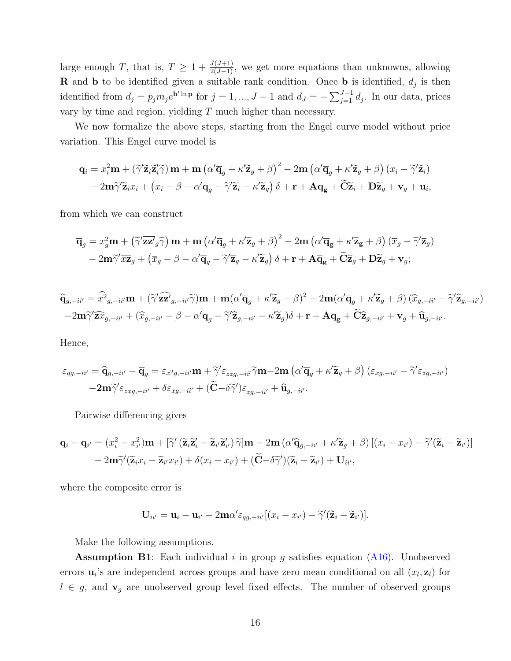large enough T, that is,  $T \geq 1 + \frac{J(J+1)}{2(J-1)}$ , we get more equations than unknowns, allowing **R** and **b** to be identified given a suitable rank condition. Once **b** is identified,  $d_j$  is then identified from  $d_j = p_j m_j e^{\mathbf{b}' \ln \mathbf{p}}$  for  $j = 1, ..., J - 1$  and  $d_J = -\sum_{j=1}^{J-1} d_j$ . In our data, prices vary by time and region, yielding  $T$  much higher than necessary.

We now formalize the above steps, starting from the Engel curve model without price variation. This Engel curve model is

$$
\mathbf{q}_{i} = x_{i}^{2} \mathbf{m} + (\widetilde{\gamma}' \widetilde{\mathbf{z}}_{i} \widetilde{\mathbf{z}}'_{i} \widetilde{\gamma}) \mathbf{m} + \mathbf{m} (\alpha' \overline{\mathbf{q}}_{g} + \kappa' \widetilde{\mathbf{z}}_{g} + \beta)^{2} - 2 \mathbf{m} (\alpha' \overline{\mathbf{q}}_{g} + \kappa' \widetilde{\mathbf{z}}_{g} + \beta) (x_{i} - \widetilde{\gamma}' \widetilde{\mathbf{z}}_{i})
$$

$$
- 2 \mathbf{m} \widetilde{\gamma}' \widetilde{\mathbf{z}}_{i} x_{i} + (x_{i} - \beta - \alpha' \overline{\mathbf{q}}_{g} - \widetilde{\gamma}' \widetilde{\mathbf{z}}_{i} - \kappa' \widetilde{\mathbf{z}}_{g}) \delta + \mathbf{r} + \mathbf{A} \overline{\mathbf{q}}_{g} + \widetilde{\mathbf{C}} \widetilde{\mathbf{z}}_{i} + \mathbf{D} \widetilde{\mathbf{z}}_{g} + \mathbf{v}_{g} + \mathbf{u}_{i},
$$

from which we can construct

$$
\overline{\mathbf{q}}_g = \overline{x_g^2} \mathbf{m} + \left(\widetilde{\gamma}' \overline{\mathbf{z} \mathbf{z}'_g} \widetilde{\gamma}\right) \mathbf{m} + \mathbf{m} \left(\alpha' \overline{\mathbf{q}}_g + \kappa' \widetilde{\mathbf{z}}_g + \beta\right)^2 - 2 \mathbf{m} \left(\alpha' \overline{\mathbf{q}}_g + \kappa' \widetilde{\mathbf{z}}_g + \beta\right) \left(\overline{x}_g - \widetilde{\gamma}' \overline{\mathbf{z}}_g\right) - 2 \mathbf{m} \widetilde{\gamma}' \overline{x} \overline{\mathbf{z}}_g + \left(\overline{x}_g - \beta - \alpha' \overline{\mathbf{q}}_g - \widetilde{\gamma}' \overline{\mathbf{z}}_g - \kappa' \widetilde{\mathbf{z}}_g\right) \delta + \mathbf{r} + \mathbf{A} \overline{\mathbf{q}}_g + \widetilde{\mathbf{C}} \overline{\mathbf{z}}_g + \mathbf{D} \widetilde{\mathbf{z}}_g + \mathbf{v}_g;
$$

$$
\hat{\mathbf{q}}_{g,-ii'} = \hat{x}^2_{g,-ii'} \mathbf{m} + (\tilde{\gamma}' \hat{\mathbf{z}} \hat{\mathbf{z}}'_{g,-ii'} \tilde{\gamma}) \mathbf{m} + \mathbf{m} (\alpha' \overline{\mathbf{q}}_g + \kappa' \widetilde{\mathbf{z}}_g + \beta)^2 - 2 \mathbf{m} (\alpha' \overline{\mathbf{q}}_g + \kappa' \widetilde{\mathbf{z}}_g + \beta) (\widehat{x}_{g,-ii'} - \tilde{\gamma}' \widehat{\mathbf{z}}_{g,-ii'})
$$
  
-2 $\mathbf{m} \widetilde{\gamma}' \widehat{\mathbf{z}} \widehat{x}_{g,-ii'} + (\widehat{x}_{g,-ii'} - \beta - \alpha' \overline{\mathbf{q}}_g - \tilde{\gamma}' \widehat{\mathbf{z}}_{g,-ii'} - \kappa' \widetilde{\mathbf{z}}_g) \delta + \mathbf{r} + \mathbf{A} \overline{\mathbf{q}}_g + \widetilde{\mathbf{C}} \widehat{\mathbf{z}}_{g,-ii'} + \mathbf{v}_g + \widehat{\mathbf{u}}_{g,-ii'}.$ 

Hence,

$$
\varepsilon_{qg,-ii'} = \widehat{\mathbf{q}}_{g,-ii'} - \overline{\mathbf{q}}_g = \varepsilon_{x^2g,-ii'} \mathbf{m} + \widetilde{\gamma}' \varepsilon_{zzg,-ii'} \widetilde{\gamma} \mathbf{m} - 2\mathbf{m} \left( \alpha' \overline{\mathbf{q}}_g + \kappa' \widetilde{\mathbf{z}}_g + \beta \right) \left( \varepsilon_{xg,-ii'} - \widetilde{\gamma}' \varepsilon_{zg,-ii'} \right) - 2\mathbf{m} \widetilde{\gamma}' \varepsilon_{zxg,-ii'} + \delta \varepsilon_{xg,-ii'} + (\widetilde{\mathbf{C}} - \delta \widetilde{\gamma}') \varepsilon_{zg,-ii'} + \widehat{\mathbf{u}}_{g,-ii'}.
$$

Pairwise differencing gives

$$
\mathbf{q}_{i} - \mathbf{q}_{i'} = (x_{i}^{2} - x_{i'}^{2})\mathbf{m} + [\widetilde{\gamma}'(\widetilde{\mathbf{z}}_{i}\widetilde{\mathbf{z}}'_{i} - \widetilde{\mathbf{z}}_{i'}\widetilde{\mathbf{z}}'_{i'})\widetilde{\gamma}]\mathbf{m} - 2\mathbf{m}(\alpha'\widehat{\mathbf{q}}_{g,-ii'} + \kappa'\widetilde{\mathbf{z}}_{g} + \beta)[(x_{i} - x_{i'}) - \widetilde{\gamma}'(\widetilde{\mathbf{z}}_{i} - \widetilde{\mathbf{z}}_{i'})]
$$
  
- 2 $\mathbf{m}\widetilde{\gamma}'(\widetilde{\mathbf{z}}_{i}x_{i} - \widetilde{\mathbf{z}}_{i'}x_{i'}) + \delta(x_{i} - x_{i'}) + (\widetilde{\mathbf{C}} - \delta\widetilde{\gamma}')(\widetilde{\mathbf{z}}_{i} - \widetilde{\mathbf{z}}_{i'}) + \mathbf{U}_{ii'},$ 

where the composite error is

$$
\mathbf{U}_{ii'} = \mathbf{u}_i - \mathbf{u}_{i'} + 2\mathbf{m}\alpha' \varepsilon_{qg,-ii'}[(x_i - x_{i'}) - \widetilde{\gamma}'(\widetilde{\mathbf{z}}_i - \widetilde{\mathbf{z}}_{i'})].
$$

Make the following assumptions.

**Assumption B1**: Each individual i in group g satisfies equation  $(A16)$ . Unobserved errors  $\mathbf{u}_i$ 's are independent across groups and have zero mean conditional on all  $(x_l, \mathbf{z}_l)$  for  $l \in g$ , and  $\mathbf{v}_g$  are unobserved group level fixed effects. The number of observed groups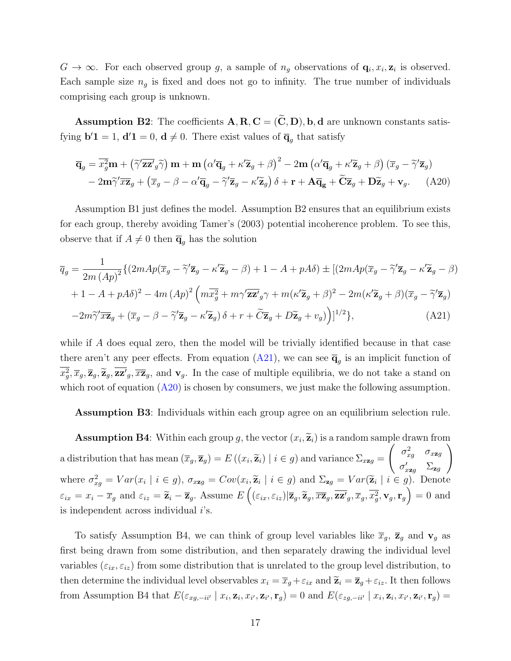$G \to \infty$ . For each observed group g, a sample of  $n_g$  observations of  $\mathbf{q}_i, x_i, \mathbf{z}_i$  is observed. Each sample size  $n_q$  is fixed and does not go to infinity. The true number of individuals comprising each group is unknown.

**Assumption B2:** The coefficients  $A, R, C = (\tilde{C}, D), b, d$  are unknown constants satisfying  $\mathbf{b}'\mathbf{1} = 1$ ,  $\mathbf{d}'\mathbf{1} = 0$ ,  $\mathbf{d} \neq 0$ . There exist values of  $\overline{\mathbf{q}}_g$  that satisfy

<span id="page-16-1"></span>
$$
\overline{\mathbf{q}}_g = \overline{x_g^2} \mathbf{m} + \left( \widetilde{\gamma}' \overline{\mathbf{z}} \mathbf{z}'_g \widetilde{\gamma} \right) \mathbf{m} + \mathbf{m} \left( \alpha' \overline{\mathbf{q}}_g + \kappa' \widetilde{\mathbf{z}}_g + \beta \right)^2 - 2 \mathbf{m} \left( \alpha' \overline{\mathbf{q}}_g + \kappa' \widetilde{\mathbf{z}}_g + \beta \right) \left( \overline{x}_g - \widetilde{\gamma}' \overline{\mathbf{z}}_g \right) - 2 \mathbf{m} \widetilde{\gamma}' \overline{x} \mathbf{z}_g + \left( \overline{x}_g - \beta - \alpha' \overline{\mathbf{q}}_g - \widetilde{\gamma}' \overline{\mathbf{z}}_g - \kappa' \widetilde{\mathbf{z}}_g \right) \delta + \mathbf{r} + \mathbf{A} \overline{\mathbf{q}}_g + \widetilde{\mathbf{C}} \overline{\mathbf{z}}_g + \mathbf{D} \widetilde{\mathbf{z}}_g + \mathbf{v}_g. \tag{A20}
$$

Assumption B1 just defines the model. Assumption B2 ensures that an equilibrium exists for each group, thereby avoiding Tamer's (2003) potential incoherence problem. To see this, observe that if  $A \neq 0$  then  $\overline{q}_q$  has the solution

$$
\overline{q}_g = \frac{1}{2m \left(Ap\right)^2} \left\{ \left(2mAp(\overline{x}_g - \tilde{\gamma}' \overline{\mathbf{z}}_g - \kappa' \widetilde{\mathbf{z}}_g - \beta) + 1 - A + pA\delta \right) \pm \left[ \left(2mAp(\overline{x}_g - \tilde{\gamma}' \overline{\mathbf{z}}_g - \kappa' \widetilde{\mathbf{z}}_g - \beta) + 1 - A + pA\delta \right) \right\} + \left[2mAp(\overline{x}_g - \tilde{\gamma}' \overline{\mathbf{z}}_g - \beta) + 1 - A + pA\delta \right]^2 - 4m \left( Ap\right)^2 \left( m\overline{x}_g^2 + m\gamma' \overline{\mathbf{z}}_g^2 \gamma + m(\kappa' \widetilde{\mathbf{z}}_g + \beta)^2 - 2m(\kappa' \widetilde{\mathbf{z}}_g + \beta)(\overline{x}_g - \tilde{\gamma}' \overline{\mathbf{z}}_g) - 2m\tilde{\gamma}' \overline{x} \overline{\mathbf{z}}_g + (\overline{x}_g - \beta - \tilde{\gamma}' \overline{\mathbf{z}}_g - \kappa' \widetilde{\mathbf{z}}_g) \delta + r + \tilde{C} \overline{\mathbf{z}}_g + D\tilde{\mathbf{z}}_g + v_g \right) \right\}^{1/2}, \tag{A21}
$$

while if A does equal zero, then the model will be trivially identified because in that case there aren't any peer effects. From equation  $(A21)$ , we can see  $\overline{\mathbf{q}}_g$  is an implicit function of  $\overline{x}_g^2, \overline{x}_g, \overline{z}_g, \overline{z}_g, \overline{z}_g, \overline{z}_g$ , and  $\mathbf{v}_g$ . In the case of multiple equilibria, we do not take a stand on which root of equation  $(A20)$  is chosen by consumers, we just make the following assumption.

<span id="page-16-0"></span>Assumption B3: Individuals within each group agree on an equilibrium selection rule.

**Assumption B4**: Within each group g, the vector  $(x_i, \tilde{\mathbf{z}}_i)$  is a random sample drawn from  $(\widetilde{\mathbf{z}}_i)$  is a random sample drawn from a distribution that has mean  $(\overline{x}_g, \overline{z}_g) = E((x_i, \widetilde{z}_i) | i \in g)$  and variance  $\Sigma_{x \mathbf{z} g} =$  $\int \sigma_{xg}^2 \sigma_{xzg}$  $\sigma_{x\mathbf{z}g}'$   $\Sigma_{\mathbf{z}g}$  $\setminus$ where  $\sigma_{xg}^2 = Var(x_i \mid i \in g)$ ,  $\sigma_{xzg} = Cov(x_i, \tilde{z}_i \mid i \in g)$  and  $\Sigma_{zg} = Var(\tilde{z}_i \mid i \in g)$ . Denote  $\varepsilon_{ix} = x_i - \overline{x}_g$  and  $\varepsilon_{iz} = \widetilde{\mathbf{z}}_i - \overline{\mathbf{z}}_g$ . Assume  $E\left( (\varepsilon_{ix}, \varepsilon_{iz}) | \overline{\mathbf{z}}_g, \widetilde{\mathbf{z}}_g, \overline{x\mathbf{z}}_g, \overline{x\mathbf{z}}_g, \overline{x}_g, \overline{x}_g^2, \mathbf{v}_g, \mathbf{r}_g \right) = 0$  and is independent across individual  $i$ 's.

To satisfy Assumption B4, we can think of group level variables like  $\bar{x}_g$ ,  $\bar{z}_g$  and  $v_g$  as first being drawn from some distribution, and then separately drawing the individual level variables  $(\varepsilon_{ix}, \varepsilon_{iz})$  from some distribution that is unrelated to the group level distribution, to then determine the individual level observables  $x_i = \overline{x}_g + \varepsilon_{ix}$  and  $\widetilde{\mathbf{z}}_i = \overline{\mathbf{z}}_g + \varepsilon_{iz}$ . It then follows from Assumption B4 that  $E(\varepsilon_{xg,-ii'} | x_i, \mathbf{z}_i, x_{i'}, \mathbf{z}_{i'}, \mathbf{r}_g) = 0$  and  $E(\varepsilon_{zg,-ii'} | x_i, \mathbf{z}_i, x_{i'}, \mathbf{z}_{i'}, \mathbf{r}_g) =$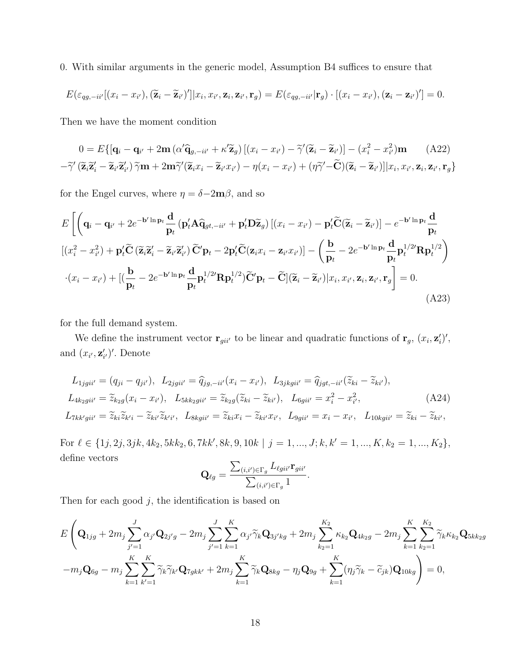0. With similar arguments in the generic model, Assumption B4 suffices to ensure that

$$
E(\varepsilon_{qg,-ii'}[(x_i-x_{i'}),(\widetilde{\mathbf{z}}_i-\widetilde{\mathbf{z}}_{i'})']|x_i,x_{i'},\mathbf{z}_i,\mathbf{z}_{i'},\mathbf{r}_g) = E(\varepsilon_{qg,-ii'}|\mathbf{r}_g)\cdot[(x_i-x_{i'}),(\mathbf{z}_i-\mathbf{z}_{i'})'] = 0.
$$

Then we have the moment condition

$$
0 = E\{[\mathbf{q}_i - \mathbf{q}_{i'} + 2\mathbf{m} \left( \alpha' \mathbf{\hat{q}}_{g, -i i'} + \kappa' \mathbf{\tilde{z}}_g \right) \left[ (x_i - x_{i'}) - \widetilde{\gamma}' (\mathbf{\tilde{z}}_i - \mathbf{\tilde{z}}_{i'}) \right] - (x_i^2 - x_{i'}^2) \mathbf{m} \qquad (A22)
$$
  
- $\widetilde{\gamma}' (\mathbf{\tilde{z}}_i \mathbf{\tilde{z}}'_i - \mathbf{\tilde{z}}_{i'} \mathbf{\tilde{z}}'_{i'}) \widetilde{\gamma} \mathbf{m} + 2\mathbf{m} \widetilde{\gamma}' (\mathbf{\tilde{z}}_i x_i - \mathbf{\tilde{z}}_{i'} x_{i'}) - \eta (x_i - x_{i'}) + (\eta \widetilde{\gamma}' - \widetilde{\mathbf{C}}) (\mathbf{\tilde{z}}_i - \mathbf{\tilde{z}}_{i'}) \left] | x_i, x_{i'}, \mathbf{z}_i, \mathbf{z}_{i'}, \mathbf{r}_g \right\}$ 

for the Engel curves, where  $\eta=\delta{-}2\mathbf{m}{\beta},$  and so

$$
E\left[\left(\mathbf{q}_{i}-\mathbf{q}_{i'}+2e^{-\mathbf{b}'\ln\mathbf{p}_{t}}\frac{\mathbf{d}}{\mathbf{p}_{t}}\left(\mathbf{p}_{i}'\mathbf{A}\widehat{\mathbf{q}}_{gt,-ii'}+\mathbf{p}_{i}'\mathbf{D}\widetilde{\mathbf{z}}_{g}\right)\left[\left(x_{i}-x_{i'}\right)-\mathbf{p}_{i}'\widetilde{\mathbf{C}}\left(\widetilde{\mathbf{z}}_{i}-\widetilde{\mathbf{z}}_{i'}\right)\right]-e^{-\mathbf{b}'\ln\mathbf{p}_{t}}\frac{\mathbf{d}}{\mathbf{p}_{t}}\right]
$$
\n
$$
\left[\left(x_{i}^{2}-x_{i'}^{2}\right)+\mathbf{p}_{i}'\widetilde{\mathbf{C}}\left(\widetilde{\mathbf{z}}_{i}\widetilde{\mathbf{z}}_{i}'-\widetilde{\mathbf{z}}_{i'}\widetilde{\mathbf{z}}_{i'}'\right)\widetilde{\mathbf{C}}'\mathbf{p}_{t}-2\mathbf{p}_{i}'\widetilde{\mathbf{C}}\left(\mathbf{z}_{i}x_{i}-\mathbf{z}_{i'}x_{i'}\right)\right]-\left(\frac{\mathbf{b}}{\mathbf{p}_{t}}-2e^{-\mathbf{b}'\ln\mathbf{p}_{t}}\frac{\mathbf{d}}{\mathbf{p}_{t}^{1/2}}\mathbf{R}\mathbf{p}_{t}^{1/2}\right)
$$
\n
$$
\cdot\left(x_{i}-x_{i'}\right)+\left[\left(\frac{\mathbf{b}}{\mathbf{p}_{t}}-2e^{-\mathbf{b}'\ln\mathbf{p}_{t}}\frac{\mathbf{d}}{\mathbf{p}_{t}^{1/2}}\mathbf{R}\mathbf{p}_{t}^{1/2}\right)\widetilde{\mathbf{C}}'\mathbf{p}_{t}-\widetilde{\mathbf{C}}\right]\left(\widetilde{\mathbf{z}}_{i}-\widetilde{\mathbf{z}}_{i'}\right)\left|x_{i},x_{i'},\mathbf{z}_{i},\mathbf{z}_{i'},\mathbf{r}_{g}\right]=0.
$$
\n(A23)

for the full demand system.

We define the instrument vector  $\mathbf{r}_{gi i'}$  to be linear and quadratic functions of  $\mathbf{r}_g$ ,  $(x_i, \mathbf{z}'_i)'$ , and  $(x_{i'}, \mathbf{z}'_{i'})'$ . Denote

$$
L_{1jgii'} = (q_{ji} - q_{ji'}), \ L_{2jgii'} = \hat{q}_{jg, -ii'}(x_i - x_{i'}), \ L_{3jkgii'} = \hat{q}_{jgt, -ii'}(\tilde{z}_{ki} - \tilde{z}_{ki'}),
$$
  
\n
$$
L_{4k_2gii'} = \tilde{z}_{k_2g}(x_i - x_{i'}), \ L_{5kk_2gii'} = \tilde{z}_{k_2g}(\tilde{z}_{ki} - \tilde{z}_{ki'}), \ L_{6gii'} = x_i^2 - x_{i'}^2,
$$
  
\n
$$
L_{7kk'gii'} = \tilde{z}_{ki}\tilde{z}_{k'i} - \tilde{z}_{ki'}\tilde{z}_{k'i'}, \ L_{8kgii'} = \tilde{z}_{ki}x_i - \tilde{z}_{ki'}x_{i'}, \ L_{9gii'} = x_i - x_{i'}, \ L_{10kgii'} = \tilde{z}_{ki} - \tilde{z}_{ki'},
$$

For  $\ell \in \{1j, 2j, 3jk, 4k_2, 5kk_2, 6, 7kk', 8k, 9, 10k \mid j = 1, ..., J; k, k' = 1, ..., K, k_2 = 1, ..., K_2\},\$ define vectors

$$
\mathbf{Q}_{\ell g} = \frac{\sum_{(i,i') \in \Gamma_g} L_{\ell g i i'} \mathbf{r}_{g i i'}}{\sum_{(i,i') \in \Gamma_g} 1}.
$$

Then for each good  $j$ , the identification is based on

$$
E\left(\mathbf{Q}_{1jg} + 2m_j \sum_{j'=1}^{J} \alpha_{j'} \mathbf{Q}_{2j'g} - 2m_j \sum_{j'=1}^{J} \sum_{k=1}^{K} \alpha_{j'} \widetilde{\gamma}_k \mathbf{Q}_{3j'kg} + 2m_j \sum_{k_2=1}^{K_2} \kappa_{k_2} \mathbf{Q}_{4k_2g} - 2m_j \sum_{k=1}^{K} \sum_{k_2=1}^{K_2} \widetilde{\gamma}_k \kappa_{k_2} \mathbf{Q}_{5k k_2g} - m_j \mathbf{Q}_{6g} - m_j \sum_{k=1}^{K} \sum_{k'=1}^{K} \widetilde{\gamma}_k \widetilde{\gamma}_{k'} \mathbf{Q}_{7gkk'} + 2m_j \sum_{k=1}^{K} \widetilde{\gamma}_k \mathbf{Q}_{8kg} - \eta_j \mathbf{Q}_{9g} + \sum_{k=1}^{K} (\eta_j \widetilde{\gamma}_k - \widetilde{c}_{jk}) \mathbf{Q}_{10kg} \right) = 0,
$$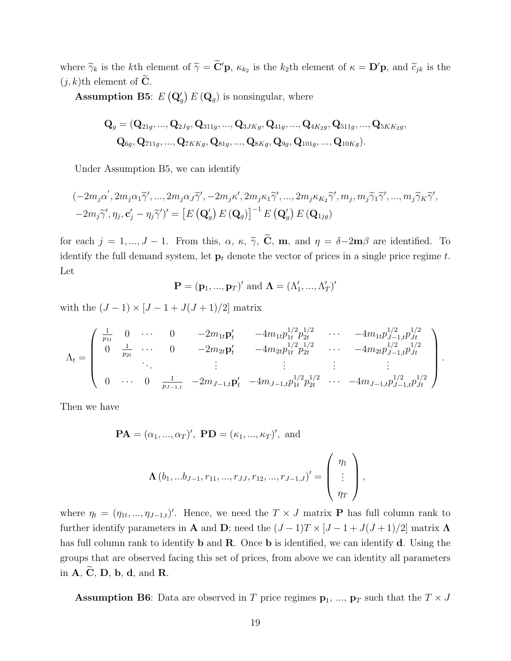where  $\widetilde{\gamma}_k$  is the kth element of  $\widetilde{\gamma} = \widetilde{\mathbf{C}}' \mathbf{p}$ ,  $\kappa_{k_2}$  is the k<sub>2</sub>th element of  $\kappa = \mathbf{D}' \mathbf{p}$ , and  $\widetilde{c}_{jk}$  is the  $(j, k)$ th element of **C**.

**Assumption B5**:  $E(Q_g) E(Q_g)$  is nonsingular, where

$$
\mathbf{Q}_{g} = (\mathbf{Q}_{21g}, ..., \mathbf{Q}_{2Jg}, \mathbf{Q}_{311g}, ..., \mathbf{Q}_{3JKg}, \mathbf{Q}_{41g}, ..., \mathbf{Q}_{4K_2g}, \mathbf{Q}_{511g}, ..., \mathbf{Q}_{5KK_2g},
$$
  

$$
\mathbf{Q}_{6g}, \mathbf{Q}_{711g}, ..., \mathbf{Q}_{7KKg}, \mathbf{Q}_{81g}, ..., \mathbf{Q}_{8Kg}, \mathbf{Q}_{9g}, \mathbf{Q}_{101g}, ..., \mathbf{Q}_{10Kg}).
$$

Under Assumption B5, we can identify

$$
\begin{aligned} &(-2m_j\alpha', 2m_j\alpha_1\widetilde{\gamma}', ..., 2m_j\alpha_J\widetilde{\gamma}', -2m_j\kappa', 2m_j\kappa_1\widetilde{\gamma}', ..., 2m_j\kappa_{K_2}\widetilde{\gamma}', m_j, m_j\widetilde{\gamma}_1\widetilde{\gamma}', ..., m_j\widetilde{\gamma}_K\widetilde{\gamma}', \\ &-2m_j\widetilde{\gamma}', \eta_j, \mathbf{c}'_j - \eta_j\widetilde{\gamma}'\prime' = \left[E\left(\mathbf{Q}'_g\right)E\left(\mathbf{Q}_g\right)\right]^{-1}E\left(\mathbf{Q}'_g\right)E\left(\mathbf{Q}_{1jg}\right) \end{aligned}
$$

for each  $j = 1, ..., J - 1$ . From this,  $\alpha$ ,  $\kappa$ ,  $\tilde{\gamma}$ ,  $\tilde{C}$ , m, and  $\eta = \delta - 2m\beta$  are identified. To identify the full demand system, let  $\mathbf{p}_t$  denote the vector of prices in a single price regime t. Let

$$
\mathbf{P} = (\mathbf{p}_1, ..., \mathbf{p}_T)'
$$
 and  $\mathbf{\Lambda} = (\Lambda'_1, ..., \Lambda'_T)'$ 

with the  $(J - 1) \times [J - 1 + J(J + 1)/2]$  matrix

$$
\Lambda_t = \begin{pmatrix}\n\frac{1}{p_{1t}} & 0 & \cdots & 0 & -2m_{1t}p_t' & -4m_{1t}p_{1t}^{1/2}p_{2t}^{1/2} & \cdots & -4m_{1t}p_{J-1,t}^{1/2}p_{Jt}^{1/2} \\
0 & \frac{1}{p_{2t}} & \cdots & 0 & -2m_{2t}p_t' & -4m_{2t}p_{1t}^{1/2}p_{2t}^{1/2} & \cdots & -4m_{2t}p_{J-1,t}^{1/2}p_{Jt}^{1/2} \\
\vdots & \vdots & \vdots & \vdots & \vdots \\
0 & \cdots & 0 & \frac{1}{p_{J-1,t}} & -2m_{J-1,t}p_t' & -4m_{J-1,t}p_{1t}^{1/2}p_{2t}^{1/2} & \cdots & -4m_{J-1,t}p_{J-1,t}^{1/2}p_{Jt}^{1/2}\n\end{pmatrix}.
$$

Then we have

$$
\mathbf{PA} = (\alpha_1, ..., \alpha_T)', \mathbf{PD} = (\kappa_1, ..., \kappa_T)', \text{ and}
$$

$$
\Lambda(b_1, ... b_{J-1}, r_{11}, ..., r_{JJ}, r_{12}, ..., r_{J-1,J})' = \begin{pmatrix} \eta_1 \\ \vdots \\ \eta_T \end{pmatrix},
$$

where  $\eta_t = (\eta_{1t}, ..., \eta_{J-1,t})'$ . Hence, we need the  $T \times J$  matrix **P** has full column rank to further identify parameters in **A** and **D**; need the  $(J-1)T \times [J-1+J(J+1)/2]$  matrix  $\Lambda$ has full column rank to identify **b** and **R**. Once **b** is identified, we can identify **d**. Using the groups that are observed facing this set of prices, from above we can identity all parameters in  $\mathbf{A}, \widetilde{\mathbf{C}}, \mathbf{D}, \mathbf{b}, \mathbf{d}, \text{and } \mathbf{R}.$ 

**Assumption B6**: Data are observed in T price regimes  $p_1$ , ...,  $p_T$  such that the  $T \times J$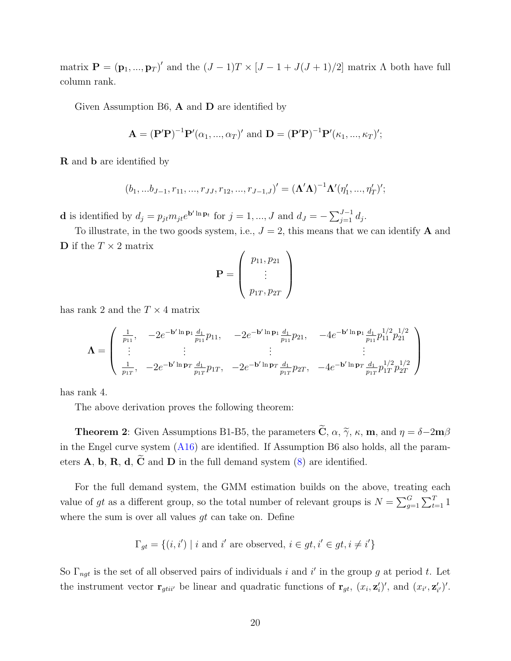matrix  $\mathbf{P} = (\mathbf{p}_1, ..., \mathbf{p}_T)'$  and the  $(J-1)T \times [J-1+J(J+1)/2]$  matrix  $\Lambda$  both have full column rank.

Given Assumption B6,  $\bf{A}$  and  $\bf{D}$  are identified by

$$
\mathbf{A} = (\mathbf{P}'\mathbf{P})^{-1}\mathbf{P}'(\alpha_1, ..., \alpha_T)'
$$
 and  $\mathbf{D} = (\mathbf{P}'\mathbf{P})^{-1}\mathbf{P}'(\kappa_1, ..., \kappa_T)'$ ;

R and b are identified by

$$
(b_1, \ldots, b_{J-1}, r_{11}, \ldots, r_{JJ}, r_{12}, \ldots, r_{J-1,J})' = (\Lambda' \Lambda)^{-1} \Lambda' (\eta'_1, \ldots, \eta'_T)';
$$

**d** is identified by  $d_j = p_{jt} m_{jt} e^{\mathbf{b}' \ln \mathbf{p}_t}$  for  $j = 1, ..., J$  and  $d_J = -\sum_{j=1}^{J-1} d_j$ .

To illustrate, in the two goods system, i.e.,  $J = 2$ , this means that we can identify **A** and **D** if the  $T \times 2$  matrix

$$
\mathbf{P} = \left(\begin{array}{c} p_{11}, p_{21} \\ \vdots \\ p_{1T}, p_{2T} \end{array}\right)
$$

has rank 2 and the  $T \times 4$  matrix

$$
\Lambda = \begin{pmatrix} \frac{1}{p_{11}}, & -2e^{-\mathbf{b}'\ln\mathbf{p}_1}\frac{d_1}{p_{11}}p_{11}, & -2e^{-\mathbf{b}'\ln\mathbf{p}_1}\frac{d_1}{p_{11}}p_{21}, & -4e^{-\mathbf{b}'\ln\mathbf{p}_1}\frac{d_1}{p_{11}}p_{11}^{1/2}p_{21}^{1/2} \\ \vdots & \vdots & \vdots & \vdots \\ \frac{1}{p_{1T}}, & -2e^{-\mathbf{b}'\ln\mathbf{p}_T}\frac{d_1}{p_{1T}}p_{1T}, & -2e^{-\mathbf{b}'\ln\mathbf{p}_T}\frac{d_1}{p_{1T}}p_{2T}, & -4e^{-\mathbf{b}'\ln\mathbf{p}_T}\frac{d_1}{p_{1T}}p_{1T}^{1/2}p_{2T}^{1/2} \end{pmatrix}
$$

has rank 4.

The above derivation proves the following theorem:

**Theorem 2:** Given Assumptions B1-B5, the parameters  $\widetilde{\mathbf{C}}$ ,  $\alpha$ ,  $\widetilde{\gamma}$ ,  $\kappa$ , **m**, and  $\eta = \delta - 2\mathbf{m}\beta$ in the Engel curve system [\(A16\)](#page-13-0) are identified. If Assumption B6 also holds, all the parameters  $\bf{A}$ ,  $\bf{b}$ ,  $\bf{R}$ ,  $\bf{d}$ ,  $\widetilde{\bf{C}}$  and  $\bf{D}$  in the full demand system [\(8\)](#page-0-1) are identified.

For the full demand system, the GMM estimation builds on the above, treating each value of gt as a different group, so the total number of relevant groups is  $N = \sum_{g=1}^{G} \sum_{t=1}^{T} 1$ where the sum is over all values  $gt$  can take on. Define

$$
\Gamma_{gt} = \{(i, i') \mid i \text{ and } i' \text{ are observed, } i \in gt, i' \in gt, i \neq i'\}
$$

So  $\Gamma_{ngt}$  is the set of all observed pairs of individuals i and i' in the group g at period t. Let the instrument vector  $\mathbf{r}_{gtii'}$  be linear and quadratic functions of  $\mathbf{r}_{gt}$ ,  $(x_i, \mathbf{z}'_i)'$ , and  $(x_{i'}, \mathbf{z}'_{i'})'$ .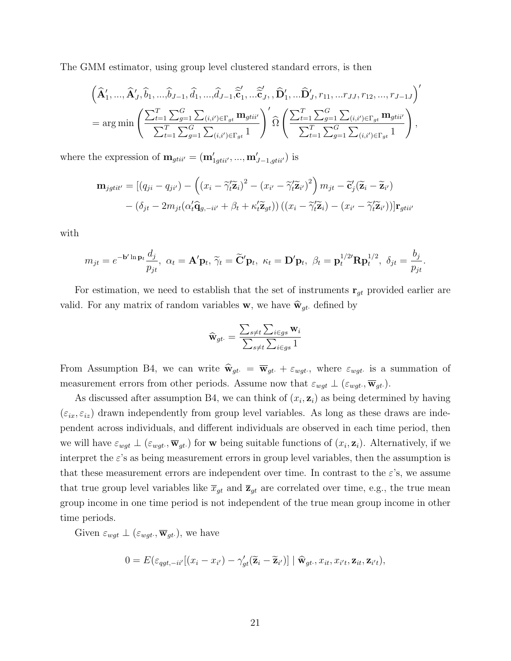The GMM estimator, using group level clustered standard errors, is then

$$
\left(\widehat{\mathbf{A}}'_1, \ldots, \widehat{\mathbf{A}}'_J, \widehat{b}_1, \ldots, \widehat{b}_{J-1}, \widehat{d}_1, \ldots, \widehat{d}_{J-1}, \widehat{\widetilde{\mathbf{c}}}'_1, \ldots, \widehat{\widetilde{\mathbf{c}}}'_J, \widehat{\mathbf{D}}'_1, \ldots, \widehat{\mathbf{D}}'_J, r_{11}, \ldots r_{JJ}, r_{12}, \ldots, r_{J-1} \right)'
$$
\n
$$
= \arg \min \left( \frac{\sum_{t=1}^T \sum_{g=1}^G \sum_{(i,i') \in \Gamma_{gt}} \mathbf{m}_{gtii'}}{\sum_{t=1}^T \sum_{g=1}^G \sum_{(i,i') \in \Gamma_{gt}} 1} \right) \widehat{\Omega} \left( \frac{\sum_{t=1}^T \sum_{g=1}^G \sum_{(i,i') \in \Gamma_{gt}} \mathbf{m}_{gtii'}}{\sum_{t=1}^T \sum_{g=1}^G \sum_{(i,i') \in \Gamma_{gt}} 1} \right),
$$

where the expression of  $\mathbf{m}_{gtii'} = (\mathbf{m}'_{1gtii'}, ..., \mathbf{m}'_{J-1,gtii'})$  is

$$
\mathbf{m}_{jgtit'} = [(q_{ji} - q_{ji'}) - ((x_i - \tilde{\gamma}_t'\tilde{\mathbf{z}}_i)^2 - (x_{i'} - \tilde{\gamma}_t'\tilde{\mathbf{z}}_{i'})^2) m_{jt} - \tilde{\mathbf{c}}'_j(\tilde{\mathbf{z}}_i - \tilde{\mathbf{z}}_{i'})
$$

$$
- (\delta_{jt} - 2m_{jt}(\alpha_t'\hat{\mathbf{q}}_{g, -it'} + \beta_t + \kappa_t'\tilde{\mathbf{z}}_{gt})) ((x_i - \tilde{\gamma}_t'\tilde{\mathbf{z}}_i) - (x_{i'} - \tilde{\gamma}_t'\tilde{\mathbf{z}}_{i'}))] \mathbf{r}_{gtit'}
$$

with

$$
m_{jt} = e^{-\mathbf{b}'\ln\mathbf{p}_t} \frac{d_j}{p_{jt}}, \ \alpha_t = \mathbf{A}'\mathbf{p}_t, \ \widetilde{\gamma}_t = \widetilde{\mathbf{C}}'\mathbf{p}_t, \ \kappa_t = \mathbf{D}'\mathbf{p}_t, \ \beta_t = \mathbf{p}_t^{1/2'}\mathbf{R}\mathbf{p}_t^{1/2}, \ \delta_{jt} = \frac{b_j}{p_{jt}}.
$$

For estimation, we need to establish that the set of instruments  $\mathbf{r}_{gt}$  provided earlier are valid. For any matrix of random variables **w**, we have  $\hat{\mathbf{w}}_{gt}$  defined by

$$
\widehat{\mathbf{w}}_{gt\cdot} = \frac{\sum_{s \neq t} \sum_{i \in gs} \mathbf{w}_i}{\sum_{s \neq t} \sum_{i \in gs} 1}
$$

From Assumption B4, we can write  $\hat{w}_{gt} = \overline{w}_{gt} + \varepsilon_{wgt}$ , where  $\varepsilon_{wgt}$  is a summation of measurement errors from other periods. Assume now that  $\varepsilon_{wgt} \perp (\varepsilon_{wgt}, \overline{\mathbf{w}}_{gt})$ .

As discussed after assumption B4, we can think of  $(x_i, z_i)$  as being determined by having  $(\varepsilon_{ix}, \varepsilon_{iz})$  drawn independently from group level variables. As long as these draws are independent across individuals, and different individuals are observed in each time period, then we will have  $\varepsilon_{wgt} \perp (\varepsilon_{wgt}$ ,  $\overline{\mathbf{w}}_{gt})$  for w being suitable functions of  $(x_i, \mathbf{z}_i)$ . Alternatively, if we interpret the  $\varepsilon$ 's as being measurement errors in group level variables, then the assumption is that these measurement errors are independent over time. In contrast to the  $\varepsilon$ 's, we assume that true group level variables like  $\bar{x}_{gt}$  and  $\bar{z}_{gt}$  are correlated over time, e.g., the true mean group income in one time period is not independent of the true mean group income in other time periods.

Given  $\varepsilon_{wgt} \perp (\varepsilon_{wgt} \cdot \overline{\mathbf{w}}_{gt})$ , we have

$$
0 = E(\varepsilon_{qgt, -ii'}[(x_i - x_{i'}) - \gamma'_{gt}(\widetilde{\mathbf{z}}_i - \widetilde{\mathbf{z}}_{i'})] | \widetilde{\mathbf{w}}_{gt}, x_{it}, x_{i't}, \mathbf{z}_{it}, \mathbf{z}_{i't}),
$$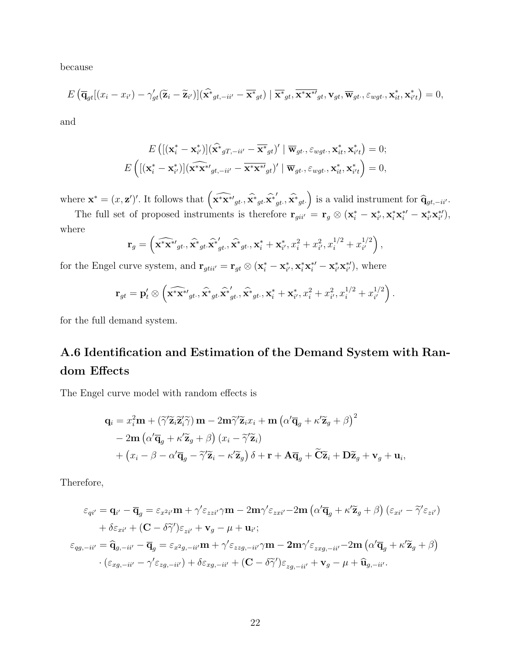because

$$
E\left(\overline{\mathbf{q}}_{gt}[(x_i - x_{i'}) - \gamma'_{gt}(\widetilde{\mathbf{z}}_i - \widetilde{\mathbf{z}}_{i'})](\widehat{\mathbf{x}}_{gt,-ii'} - \overline{\mathbf{x}}_{gt}^*) \mid \overline{\mathbf{x}}_{gt}^*, \overline{\mathbf{x}}^* \mathbf{x}_{gt}^* \mathbf{y}_t, \mathbf{v}_{gt}, \varepsilon_{wgt\cdot}, \mathbf{x}_{it}^*, \mathbf{x}_{i't}^*\right) = 0,
$$

and

$$
E\left(\left[\left(\mathbf{x}_{i}^{*}-\mathbf{x}_{i'}^{*}\right)\right]\left(\widehat{\mathbf{x}}_{gT,-ii'}-\overline{\mathbf{x}}_{gt}^{*}\right)'\mid\overline{\mathbf{w}}_{gt},\varepsilon_{wgt},\mathbf{x}_{it}^{*},\mathbf{x}_{it}^{*}\right)=0;\\E\left(\left[\left(\mathbf{x}_{i}^{*}-\mathbf{x}_{i'}^{*}\right)\right]\left(\widehat{\mathbf{x}}_{t}^{*}\mathbf{x}_{gt}^{*}/\left(\mathbf{x}_{t}-\overline{\mathbf{x}}_{gt}^{*}\mathbf{x}_{gt}^{*}\right)'\mid\overline{\mathbf{w}}_{gt},\varepsilon_{wgt},\mathbf{x}_{it}^{*},\mathbf{x}_{it}^{*}\right)=0,\right.
$$

where  $\mathbf{x}^* = (x, \mathbf{z}')'$ . It follows that  $\left(\widehat{\mathbf{x}^* \mathbf{x}^*}_{gt}, \widehat{\mathbf{x}^*}_{gt}, \widehat{\mathbf{x}^*}_{gt} \right)$  $\left(g_t, \widehat{\mathbf{x}}^*_{gt}\right)$  is a valid instrument for  $\widehat{\mathbf{q}}_{gt,-ii'}$ .

The full set of proposed instruments is therefore  $\mathbf{r}_{gi i'} = \mathbf{r}_g \otimes (\mathbf{x}_i^* - \mathbf{x}_{i'}^*, \mathbf{x}_i^* \mathbf{x}_i^{*'} - \mathbf{x}_{i'}^* \mathbf{x}_{i'}^{*'}),$ where

$$
\mathbf{r}_g = \left( \widehat{\mathbf{x}^* \mathbf{x}^*}_{gt\cdot}, \widehat{\mathbf{x}^*}_{gt\cdot}, \widehat{\mathbf{x}^*}_{gt\cdot}, \widehat{\mathbf{x}^*}_{gt\cdot}, \mathbf{x}_i^* + \mathbf{x}_{i'}^*, x_i^2 + x_{i'}^2, x_i^{1/2} + x_{i'}^{1/2} \right),
$$

for the Engel curve system, and  $\mathbf{r}_{gtii'} = \mathbf{r}_{gt} \otimes (\mathbf{x}_i^* - \mathbf{x}_{i'}^*, \mathbf{x}_i^* \mathbf{x}_i^{*'} - \mathbf{x}_{i'}^* \mathbf{x}_{i'}^{*'})$ , where

$$
\mathbf{r}_{gt} = \mathbf{p}'_t \otimes \left(\widehat{\mathbf{x}^* \mathbf{x}^*}_{gt\cdot}, \widehat{\mathbf{x}^*}_{gt\cdot}, \widehat{\mathbf{x}^*}_{gt\cdot}, \widehat{\mathbf{x}^*}_{gt\cdot}, \mathbf{x}^*_{i} + \mathbf{x}^*_{i'}, x_i^2 + x_{i'}^2, x_i^{1/2} + x_{i'}^{1/2}\right).
$$

for the full demand system.

## A.6 Identification and Estimation of the Demand System with Random Effects

The Engel curve model with random effects is

$$
\mathbf{q}_{i} = x_{i}^{2} \mathbf{m} + (\tilde{\gamma}' \tilde{\mathbf{z}}_{i} \tilde{\mathbf{z}}_{i}' \tilde{\gamma}) \mathbf{m} - 2 \mathbf{m} \tilde{\gamma}' \tilde{\mathbf{z}}_{i} x_{i} + \mathbf{m} (\alpha' \overline{\mathbf{q}}_{g} + \kappa' \tilde{\mathbf{z}}_{g} + \beta)^{2}
$$

$$
- 2 \mathbf{m} (\alpha' \overline{\mathbf{q}}_{g} + \kappa' \tilde{\mathbf{z}}_{g} + \beta) (x_{i} - \tilde{\gamma}' \tilde{\mathbf{z}}_{i})
$$

$$
+ (x_{i} - \beta - \alpha' \overline{\mathbf{q}}_{g} - \tilde{\gamma}' \tilde{\mathbf{z}}_{i} - \kappa' \tilde{\mathbf{z}}_{g}) \delta + \mathbf{r} + \mathbf{A} \overline{\mathbf{q}}_{g} + \tilde{\mathbf{C}} \tilde{\mathbf{z}}_{i} + \mathbf{D} \tilde{\mathbf{z}}_{g} + \mathbf{v}_{g} + \mathbf{u}_{i},
$$

Therefore,

$$
\varepsilon_{qi'} = \mathbf{q}_{i'} - \overline{\mathbf{q}}_g = \varepsilon_{x^2i'} \mathbf{m} + \gamma' \varepsilon_{zzi'} \gamma \mathbf{m} - 2\mathbf{m} \gamma' \varepsilon_{zxi'} - 2\mathbf{m} \left( \alpha' \overline{\mathbf{q}}_g + \kappa' \widetilde{\mathbf{z}}_g + \beta \right) \left( \varepsilon_{xi'} - \widetilde{\gamma}' \varepsilon_{zi'} \right) + \delta \varepsilon_{xi'} + (\mathbf{C} - \delta \widetilde{\gamma}') \varepsilon_{zi'} + \mathbf{v}_g - \mu + \mathbf{u}_{i'}; \n\varepsilon_{qg,-ii'} = \widehat{\mathbf{q}}_{g,-ii'} - \overline{\mathbf{q}}_g = \varepsilon_{x^2g,-ii'} \mathbf{m} + \gamma' \varepsilon_{zzg,-ii'} \gamma \mathbf{m} - 2\mathbf{m} \gamma' \varepsilon_{zxg,-ii'} - 2\mathbf{m} \left( \alpha' \overline{\mathbf{q}}_g + \kappa' \widetilde{\mathbf{z}}_g + \beta \right) \cdot \left( \varepsilon_{xg,-ii'} - \gamma' \varepsilon_{zg,-ii'} \right) + \delta \varepsilon_{xg,-ii'} + (\mathbf{C} - \delta \widetilde{\gamma}') \varepsilon_{zg,-ii'} + \mathbf{v}_g - \mu + \widehat{\mathbf{u}}_{g,-ii'}.
$$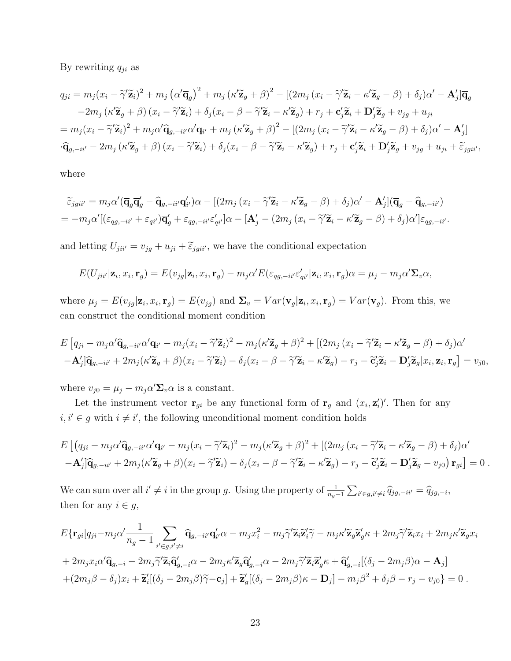By rewriting  $q_{ji}$  as

$$
q_{ji} = m_j(x_i - \tilde{\gamma}' \tilde{\mathbf{z}}_i)^2 + m_j (\alpha' \overline{\mathbf{q}}_g)^2 + m_j (\kappa' \tilde{\mathbf{z}}_g + \beta)^2 - [(2m_j (x_i - \tilde{\gamma}' \tilde{\mathbf{z}}_i - \kappa' \tilde{\mathbf{z}}_g - \beta) + \delta_j) \alpha' - \mathbf{A}'_j] \overline{\mathbf{q}}_g
$$
  
\n
$$
-2m_j (\kappa' \tilde{\mathbf{z}}_g + \beta) (x_i - \tilde{\gamma}' \tilde{\mathbf{z}}_i) + \delta_j (x_i - \beta - \tilde{\gamma}' \tilde{\mathbf{z}}_i - \kappa' \tilde{\mathbf{z}}_g) + r_j + \mathbf{c}'_j \tilde{\mathbf{z}}_i + \mathbf{D}'_j \tilde{\mathbf{z}}_g + v_{jg} + u_{ji}
$$
  
\n
$$
= m_j (x_i - \tilde{\gamma}' \tilde{\mathbf{z}}_i)^2 + m_j \alpha' \hat{\mathbf{q}}_{g, -ii'} \alpha' \mathbf{q}_{i'} + m_j (\kappa' \tilde{\mathbf{z}}_g + \beta)^2 - [(2m_j (x_i - \tilde{\gamma}' \tilde{\mathbf{z}}_i - \kappa' \tilde{\mathbf{z}}_g - \beta) + \delta_j) \alpha' - \mathbf{A}'_j]
$$
  
\n
$$
\cdot \hat{\mathbf{q}}_{g, -ii'} - 2m_j (\kappa' \tilde{\mathbf{z}}_g + \beta) (x_i - \tilde{\gamma}' \tilde{\mathbf{z}}_i) + \delta_j (x_i - \beta - \tilde{\gamma}' \tilde{\mathbf{z}}_i - \kappa' \tilde{\mathbf{z}}_g) + r_j + \mathbf{c}'_j \tilde{\mathbf{z}}_i + \mathbf{D}'_j \tilde{\mathbf{z}}_g + v_{jg} + u_{ji} + \tilde{\varepsilon}_{jgi'}
$$

where

$$
\tilde{\varepsilon}_{jgii'} = m_j \alpha' (\overline{\mathbf{q}}_g \overline{\mathbf{q}}_g' - \widehat{\mathbf{q}}_{g,-ii'} \mathbf{q}_{i'}) \alpha - [(2m_j (x_i - \widetilde{\gamma}' \widetilde{\mathbf{z}}_i - \kappa' \widetilde{\mathbf{z}}_g - \beta) + \delta_j) \alpha' - \mathbf{A}'_j] (\overline{\mathbf{q}}_g - \widehat{\mathbf{q}}_{g,-ii'})
$$
  
=  $-m_j \alpha' [(\varepsilon_{qg,-ii'} + \varepsilon_{qi'}) \overline{\mathbf{q}}_g' + \varepsilon_{qg,-ii'} \varepsilon'_{qi'}] \alpha - [\mathbf{A}'_j - (2m_j (x_i - \widetilde{\gamma}' \widetilde{\mathbf{z}}_i - \kappa' \widetilde{\mathbf{z}}_g - \beta) + \delta_j) \alpha'] \varepsilon_{qg,-ii'}.$ 

and letting  $U_{jii'} = v_{jg} + u_{ji} + \tilde{\varepsilon}_{jgii'}$ , we have the conditional expectation

$$
E(U_{jii'}|\mathbf{z}_i,x_i,\mathbf{r}_g) = E(v_{jg}|\mathbf{z}_i,x_i,\mathbf{r}_g) - m_j\alpha'E(\varepsilon_{qg,-ii'}\varepsilon'_{qi'}|\mathbf{z}_i,x_i,\mathbf{r}_g)\alpha = \mu_j - m_j\alpha'\mathbf{\Sigma}_v\alpha,
$$

where  $\mu_j = E(v_{jg}|\mathbf{z}_i, x_i, \mathbf{r}_g) = E(v_{jg})$  and  $\mathbf{\Sigma}_v = Var(\mathbf{v}_g|\mathbf{z}_i, x_i, \mathbf{r}_g) = Var(\mathbf{v}_g)$ . From this, we can construct the conditional moment condition

$$
E\left[q_{ji}-m_j\alpha'\hat{\mathbf{q}}_{g,-ii'}\alpha'\mathbf{q}_{i'}-m_j(x_i-\tilde{\gamma}'\tilde{\mathbf{z}}_i)^2-m_j(\kappa'\tilde{\mathbf{z}}_g+\beta)^2+\left[(2m_j(x_i-\tilde{\gamma}'\tilde{\mathbf{z}}_i-\kappa'\tilde{\mathbf{z}}_g-\beta)+\delta_j)\alpha'\right.\right.\left.-\mathbf{A}'_j\right]\hat{\mathbf{q}}_{g,-ii'}+2m_j(\kappa'\tilde{\mathbf{z}}_g+\beta)(x_i-\tilde{\gamma}'\tilde{\mathbf{z}}_i)-\delta_j(x_i-\beta-\tilde{\gamma}'\tilde{\mathbf{z}}_i-\kappa'\tilde{\mathbf{z}}_g)-r_j-\tilde{\mathbf{c}}'_j\tilde{\mathbf{z}}_i-\mathbf{D}'_j\tilde{\mathbf{z}}_g|x_i,\mathbf{z}_i,\mathbf{r}_g\right]=v_{j0},
$$

where  $v_{j0} = \mu_j - m_j \alpha' \Sigma_v \alpha$  is a constant.

Let the instrument vector  $\mathbf{r}_{gi}$  be any functional form of  $\mathbf{r}_g$  and  $(x_i, \mathbf{z}'_i)'$ . Then for any  $i, i' \in g$  with  $i \neq i'$ , the following unconditional moment condition holds

$$
E\left[ (q_{ji} - m_j \alpha' \hat{\mathbf{q}}_{g,-ii'} \alpha' \mathbf{q}_{i'} - m_j (x_i - \tilde{\gamma}' \tilde{\mathbf{z}}_i)^2 - m_j (\kappa' \tilde{\mathbf{z}}_g + \beta)^2 + \left[ (2m_j (x_i - \tilde{\gamma}' \tilde{\mathbf{z}}_i - \kappa' \tilde{\mathbf{z}}_g - \beta) + \delta_j) \alpha' - \mathbf{A}'_j \right] \hat{\mathbf{q}}_{g,-ii'} + 2m_j (\kappa' \tilde{\mathbf{z}}_g + \beta)(x_i - \tilde{\gamma}' \tilde{\mathbf{z}}_i) - \delta_j (x_i - \beta - \tilde{\gamma}' \tilde{\mathbf{z}}_i - \kappa' \tilde{\mathbf{z}}_g) - r_j - \tilde{\mathbf{c}}'_j \tilde{\mathbf{z}}_i - \mathbf{D}'_j \tilde{\mathbf{z}}_g - v_{j0}) \mathbf{r}_{gi} \right] = 0.
$$

We can sum over all  $i' \neq i$  in the group g. Using the property of  $\frac{1}{n_g-1} \sum_{i' \in g, i' \neq i} \hat{q}_{jg,-ii'} = \hat{q}_{jg,-i}$ then for any  $i \in g$ ,

$$
E\{\mathbf{r}_{gi}[q_{ji}-m_j\alpha'\frac{1}{n_g-1}\sum_{i'\in g,i'\neq i}\widehat{\mathbf{q}}_{g,-ii'}\mathbf{q}'_{i'}\alpha-m_jx_i^2-m_j\widetilde{\gamma}'\widetilde{\mathbf{z}}_i\widetilde{\mathbf{z}}'_i\widetilde{\gamma}-m_j\kappa'\widetilde{\mathbf{z}}_g\widetilde{\mathbf{z}}'_g\kappa+2m_j\widetilde{\gamma}'\widetilde{\mathbf{z}}_ix_i+2m_j\kappa'\widetilde{\mathbf{z}}_gx_i
$$
  
+2m\_jx\_i\alpha'\widehat{\mathbf{q}}\_{g,-i}-2m\_j\widetilde{\gamma}'\widetilde{\mathbf{z}}\_i\widetilde{\mathbf{q}}'\_{g,-i}\alpha-2m\_j\kappa'\widetilde{\mathbf{z}}\_g\widehat{\mathbf{q}}'\_{g,-i}\alpha-2m\_j\widetilde{\gamma}'\widetilde{\mathbf{z}}\_i\widetilde{\mathbf{z}}'\_g\kappa+\widehat{\mathbf{q}}'\_{g,-i}[(\delta\_j-2m\_j\beta)\alpha-\mathbf{A}\_j]  
+(2m\_j\beta-\delta\_j)x\_i+\widetilde{\mathbf{z}}'\_i[(\delta\_j-2m\_j\beta)\widetilde{\gamma}-\mathbf{c}\_j]+\widetilde{\mathbf{z}}'\_g[(\delta\_j-2m\_j\beta)\kappa-\mathbf{D}\_j]-m\_j\beta^2+\delta\_j\beta-r\_j-v\_{j0}\}=0.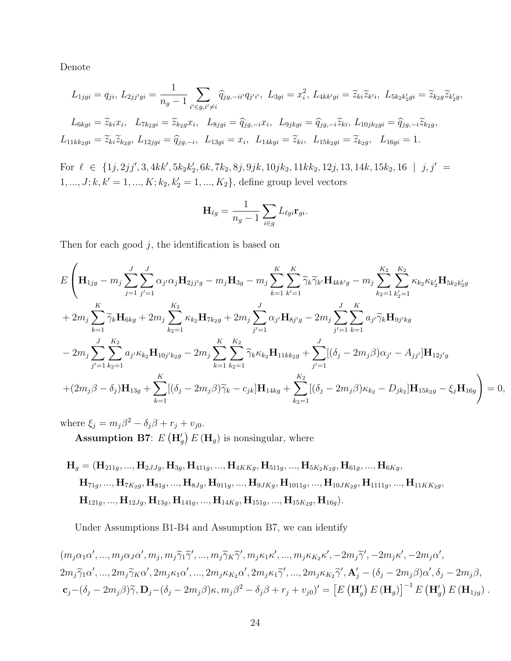Denote

$$
L_{1jgi} = q_{ji}, L_{2jj'gi} = \frac{1}{n_g - 1} \sum_{i' \in g, i' \neq i} \hat{q}_{jg, -ii'} q_{j'i'}, \ L_{3gi} = x_i^2, L_{4kk'gi} = \tilde{z}_{ki}\tilde{z}_{k'i}, \ L_{5k_2k'_2gi} = \tilde{z}_{k_2g}\tilde{z}_{k'_2g},
$$
  

$$
L_{6kgi} = \tilde{z}_{ki}x_i, \ L_{7k_2gi} = \tilde{z}_{k_2g}x_i, \ L_{8jgi} = \hat{q}_{jg, -i}x_i, \ L_{9jkgi} = \hat{q}_{jg, -i}\tilde{z}_{ki}, L_{10jk_2gi} = \hat{q}_{jg, -i}\tilde{z}_{k_2g},
$$

 $L_{11kk_2gi} = \tilde{z}_{ki}\tilde{z}_{k_2g}, L_{12jgi} = \hat{q}_{jg,-i}, L_{13gi} = x_i, L_{14kgi} = \tilde{z}_{ki}, L_{15k_2gi} = \tilde{z}_{k_2g}, L_{16gi} = 1.$ 

For  $\ell \in \{1j, 2jj', 3, 4kk', 5k_2k'_2, 6k, 7k_2, 8j, 9jk, 10jk_2, 11kk_2, 12j, 13, 14k, 15k_2, 16 \mid j, j' =$  $1, ..., J; k, k' = 1, ..., K; k_2, k_2' = 1, ..., K_2$ , define group level vectors

$$
\mathbf{H}_{\ell g} = \frac{1}{n_g - 1} \sum_{i \in g} L_{\ell gi} \mathbf{r}_{gi}.
$$

Then for each good  $j$ , the identification is based on

$$
E\left(\mathbf{H}_{1jg} - m_{j} \sum_{j=1}^{J} \sum_{j'=1}^{J} \alpha_{j'} \alpha_{j} \mathbf{H}_{2jj'g} - m_{j} \mathbf{H}_{3g} - m_{j} \sum_{k=1}^{K} \sum_{k'=1}^{K} \widetilde{\gamma}_{k} \widetilde{\gamma}_{k'} \mathbf{H}_{4kk'g} - m_{j} \sum_{k_{2}=1}^{K_{2}} \sum_{k'_{2}=1}^{K_{2}} \kappa_{k_{2}} \kappa_{k'_{2}} \mathbf{H}_{5k_{2}k'_{2}g} + 2m_{j} \sum_{k=1}^{K} \widetilde{\gamma}_{k} \mathbf{H}_{6kg} + 2m_{j} \sum_{k_{2}=1}^{K_{2}} \kappa_{k_{2}} \mathbf{H}_{7k_{2}g} + 2m_{j} \sum_{j'=1}^{J} \alpha_{j'} \mathbf{H}_{8j'g} - 2m_{j} \sum_{j'=1}^{J} \sum_{k=1}^{K} a_{j'} \widetilde{\gamma}_{k} \mathbf{H}_{9j'kg} - 2m_{j} \sum_{j'=1}^{J} \sum_{k_{2}=1}^{K_{2}} a_{j'} \kappa_{k_{2}} \mathbf{H}_{10j'k_{2}g} - 2m_{j} \sum_{k=1}^{K} \sum_{k_{2}=1}^{K_{2}} \widetilde{\gamma}_{k} \kappa_{k_{2}} \mathbf{H}_{11kk_{2}g} + \sum_{j'=1}^{J} [(\delta_{j} - 2m_{j}\beta)\alpha_{j'} - A_{jj'}] \mathbf{H}_{12j'g} + (2m_{j}\beta - \delta_{j}) \mathbf{H}_{13g} + \sum_{k=1}^{K} [(\delta_{j} - 2m_{j}\beta)\widetilde{\gamma}_{k} - c_{jk}] \mathbf{H}_{14kg} + \sum_{k_{2}=1}^{K_{2}} [(\delta_{j} - 2m_{j}\beta)\kappa_{k_{2}} - D_{jk_{2}}] \mathbf{H}_{15k_{2}g} - \xi_{j} \mathbf{H}_{16g} \right) = 0,
$$

where  $\xi_j = m_j \beta^2 - \delta_j \beta + r_j + v_{j0}$ . **Assumption B7**:  $E(\mathbf{H}'_g) E(\mathbf{H}_g)$  is nonsingular, where

$$
\begin{aligned} \mathbf{H}_g & = (\mathbf{H}_{211g}, ..., \mathbf{H}_{2JJg}, \mathbf{H}_{3g}, \mathbf{H}_{411g}, ..., \mathbf{H}_{4KKg}, \mathbf{H}_{511g}, ..., \mathbf{H}_{5K_2K_2g}, \mathbf{H}_{61g}, ..., \mathbf{H}_{6Kg}, \\ \mathbf{H}_{71g}, ..., \mathbf{H}_{7K_2g}, \mathbf{H}_{81g}, ..., \mathbf{H}_{8Jg}, \mathbf{H}_{911g}, ..., \mathbf{H}_{9JKg}, \mathbf{H}_{1011g}, ..., \mathbf{H}_{10JK_2g}, \mathbf{H}_{1111g}, ..., \mathbf{H}_{11KK_2g}, \\ \mathbf{H}_{121g}, ..., \mathbf{H}_{12Jg}, \mathbf{H}_{13g}, \mathbf{H}_{141g}, ..., \mathbf{H}_{14Kg}, \mathbf{H}_{151g}, ..., \mathbf{H}_{15K_2g}, \mathbf{H}_{16g}). \end{aligned}
$$

Under Assumptions B1-B4 and Assumption B7, we can identify

 $(m_j\alpha_1\alpha',...,m_j\alpha_J\alpha',m_j,m_j\widetilde{\gamma}_1\widetilde{\gamma}',...,m_j\widetilde{\gamma}_K\widetilde{\gamma}',m_j\kappa_1\kappa',...,m_j\kappa_{K_2}\kappa',-2m_j\widetilde{\gamma}',-2m_j\kappa',-2m_j\alpha',$  $2m_j\widetilde{\gamma}_1\alpha',...,2m_j\widetilde{\gamma}_K\alpha',2m_j\kappa_1\alpha',...,2m_j\kappa_{K_2}\alpha',2m_j\kappa_1\widetilde{\gamma}',...,2m_j\kappa_{K_2}\widetilde{\gamma}',{\bf A}_j'-(\delta_j-2m_j\beta)\alpha',\delta_j-2m_j\beta,$  $\mathbf{c}_j-(\delta_j-2m_j\beta)\widetilde{\gamma}, \mathbf{D}_j-(\delta_j-2m_j\beta)\kappa, m_j\beta^2-\delta_j\beta+r_j+v_{j0})'=\left[E(\mathbf{H}'_g) E(\mathbf{H}_g)\right]^{-1} E(\mathbf{H}'_g) E(\mathbf{H}_{1jg}).$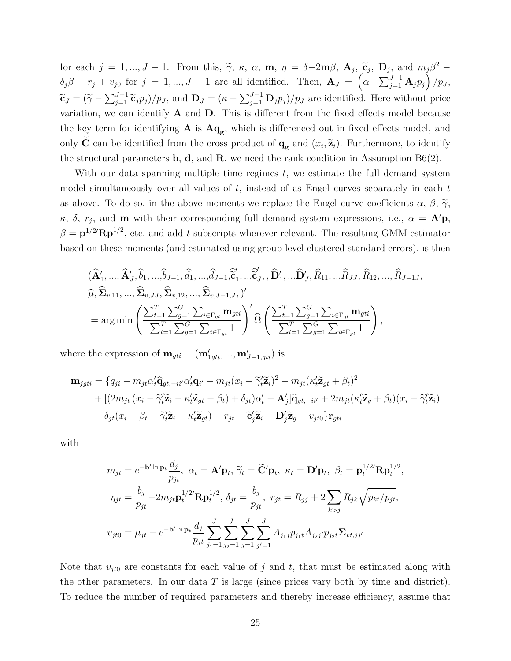for each  $j = 1, ..., J - 1$ . From this,  $\tilde{\gamma}$ ,  $\kappa$ ,  $\alpha$ ,  $\mathbf{m}$ ,  $\eta = \delta - 2\mathbf{m}\beta$ ,  $\mathbf{A}_j$ ,  $\tilde{\mathbf{c}}_j$ ,  $\mathbf{D}_j$ , and  $m_j\beta^2$  –  $\delta_j \beta + r_j + v_{j0}$  for  $j = 1, ..., J - 1$  are all identified. Then,  $\mathbf{A}_J = \left( \alpha - \sum_{j=1}^{J-1} \mathbf{A}_j p_j \right) / p_J$ ,  $\widetilde{\mathbf{c}}_J = (\widetilde{\gamma} - \sum_{j=1}^{J-1} \widetilde{\mathbf{c}}_j p_j)/p_J$ , and  $\mathbf{D}_J = (\kappa - \sum_{j=1}^{J-1} \mathbf{D}_j p_j)/p_J$  are identified. Here without price variation, we can identify  $A$  and  $D$ . This is different from the fixed effects model because the key term for identifying  $A$  is  $A\overline{q}_g$ , which is differenced out in fixed effects model, and only **C** can be identified from the cross product of  $\overline{\mathbf{q}}_{g}$  and  $(x_i, \tilde{\mathbf{z}}_i)$ . Furthermore, to identify the structural parameters  $\mathbf{b}, \mathbf{d}, \text{ and } \mathbf{R}$ , we need the rank condition in Assumption B6(2).

With our data spanning multiple time regimes  $t$ , we estimate the full demand system model simultaneously over all values of  $t$ , instead of as Engel curves separately in each  $t$ as above. To do so, in the above moments we replace the Engel curve coefficients  $\alpha$ ,  $\beta$ ,  $\widetilde{\gamma}$ ,  $\kappa$ ,  $\delta$ ,  $r_j$ , and **m** with their corresponding full demand system expressions, i.e.,  $\alpha = \mathbf{A}'\mathbf{p}$ ,  $\beta = \mathbf{p}^{1/2} \mathbf{R} \mathbf{p}^{1/2}$ , etc, and add t subscripts wherever relevant. The resulting GMM estimator based on these moments (and estimated using group level clustered standard errors), is then

$$
\begin{split}\n &(\widehat{\mathbf{A}}'_1, \ldots, \widehat{\mathbf{A}}'_J, \widehat{b}_1, \ldots, \widehat{b}_{J-1}, \widehat{d}_1, \ldots, \widehat{d}_{J-1}, \widehat{\widetilde{\mathbf{c}}}'_1, \ldots \widehat{\widetilde{\mathbf{c}}}'_J, \widehat{\mathbf{D}}'_1, \ldots \widehat{\mathbf{D}}'_J, \widehat{R}_{11}, \ldots \widehat{R}_{JJ}, \widehat{R}_{12}, \ldots, \widehat{R}_{J-1J}, \\
 &\widehat{\mu}, \widehat{\Sigma}_{v,11}, \ldots, \widehat{\Sigma}_{v,JJ}, \widehat{\Sigma}_{v,12}, \ldots, \widehat{\Sigma}_{v,J-1,J}, \end{split}\n \big)'
$$
\n
$$
= \arg \min \left( \frac{\sum_{t=1}^T \sum_{g=1}^G \sum_{i \in \Gamma_{gt}} \mathbf{m}_{gti}}{\sum_{t=1}^T \sum_{g=1}^G \sum_{i \in \Gamma_{gt}} \mathbf{m}_{gti}} \right)' \widehat{\Omega} \left( \frac{\sum_{t=1}^T \sum_{g=1}^G \sum_{i \in \Gamma_{gt}} \mathbf{m}_{gti}}{\sum_{t=1}^T \sum_{g=1}^G \sum_{i \in \Gamma_{gt}} \mathbf{m}_{gt}} \right),
$$

where the expression of  $\mathbf{m}_{gti} = (\mathbf{m}'_{1gti}, ..., \mathbf{m}'_{J-1,gti})$  is

$$
\mathbf{m}_{jgti} = \{q_{ji} - m_{jt}\alpha'_t\hat{\mathbf{q}}_{gt, -ii'}\alpha'_t\mathbf{q}_{i'} - m_{jt}(x_i - \tilde{\gamma}'_t\tilde{\mathbf{z}}_i)^2 - m_{jt}(\kappa'_t\tilde{\mathbf{z}}_{gt} + \beta_t)^2 \n+ [(2m_{jt}(x_i - \tilde{\gamma}'_t\tilde{\mathbf{z}}_i - \kappa'_t\tilde{\mathbf{z}}_{gt} - \beta_t) + \delta_{jt})\alpha'_t - \mathbf{A}'_j]\hat{\mathbf{q}}_{gt, -ii'} + 2m_{jt}(\kappa'_t\tilde{\mathbf{z}}_g + \beta_t)(x_i - \tilde{\gamma}'_t\tilde{\mathbf{z}}_i) \n- \delta_{jt}(x_i - \beta_t - \tilde{\gamma}'_t\tilde{\mathbf{z}}_i - \kappa'_t\tilde{\mathbf{z}}_{gt}) - r_{jt} - \tilde{\mathbf{c}}'_j\tilde{\mathbf{z}}_i - \mathbf{D}'_j\tilde{\mathbf{z}}_g - v_{jt0}\} \mathbf{r}_{gti}
$$

with

$$
m_{jt} = e^{-\mathbf{b}' \ln \mathbf{p}_t} \frac{d_j}{p_{jt}}, \ \alpha_t = \mathbf{A}' \mathbf{p}_t, \ \tilde{\gamma}_t = \tilde{\mathbf{C}}' \mathbf{p}_t, \ \kappa_t = \mathbf{D}' \mathbf{p}_t, \ \beta_t = \mathbf{p}_t^{1/2'} \mathbf{R} \mathbf{p}_t^{1/2},
$$

$$
\eta_{jt} = \frac{b_j}{p_{jt}} - 2m_{jt} \mathbf{p}_t^{1/2'} \mathbf{R} \mathbf{p}_t^{1/2}, \ \delta_{jt} = \frac{b_j}{p_{jt}}, \ r_{jt} = R_{jj} + 2 \sum_{k > j} R_{jk} \sqrt{p_{kt}/p_{jt}},
$$

$$
v_{jt0} = \mu_{jt} - e^{-\mathbf{b}' \ln \mathbf{p}_t} \frac{d_j}{p_{jt}} \sum_{j_1=1}^J \sum_{j_2=1}^J \sum_{j=1}^J \sum_{j'=1}^J A_{j_1j} p_{j_1t} A_{j_2j'} p_{j_2t} \Sigma_{vt,jj'}.
$$

Note that  $v_{jt0}$  are constants for each value of j and t, that must be estimated along with the other parameters. In our data  $T$  is large (since prices vary both by time and district). To reduce the number of required parameters and thereby increase efficiency, assume that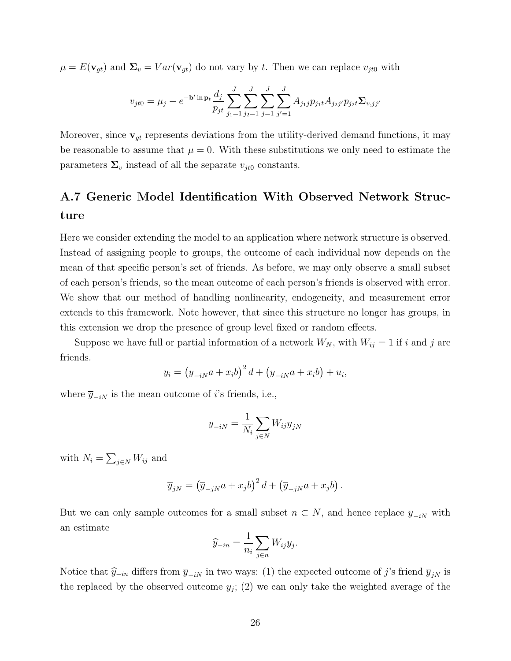$\mu = E(\mathbf{v}_{gt})$  and  $\Sigma_v = Var(\mathbf{v}_{gt})$  do not vary by t. Then we can replace  $v_{jt0}$  with

$$
v_{jt0} = \mu_j - e^{-\mathbf{b}' \ln \mathbf{p}_t} \frac{d_j}{p_{jt}} \sum_{j_1=1}^J \sum_{j_2=1}^J \sum_{j=1}^J \sum_{j'=1}^J A_{j_1j} p_{j_1t} A_{j_2j'} p_{j_2t} \Sigma_{v,jj'}
$$

Moreover, since  $\mathbf{v}_{gt}$  represents deviations from the utility-derived demand functions, it may be reasonable to assume that  $\mu = 0$ . With these substitutions we only need to estimate the parameters  $\Sigma_v$  instead of all the separate  $v_{it0}$  constants.

## A.7 Generic Model Identification With Observed Network Structure

Here we consider extending the model to an application where network structure is observed. Instead of assigning people to groups, the outcome of each individual now depends on the mean of that specific person's set of friends. As before, we may only observe a small subset of each person's friends, so the mean outcome of each person's friends is observed with error. We show that our method of handling nonlinearity, endogeneity, and measurement error extends to this framework. Note however, that since this structure no longer has groups, in this extension we drop the presence of group level fixed or random effects.

Suppose we have full or partial information of a network  $W_N$ , with  $W_{ij} = 1$  if i and j are friends.

$$
y_i = \left(\overline{y}_{-iN}a + x_ib\right)^2 d + \left(\overline{y}_{-iN}a + x_ib\right) + u_i,
$$

where  $\overline{y}_{-iN}$  is the mean outcome of *i*'s friends, i.e.,

$$
\overline{y}_{-iN} = \frac{1}{N_i} \sum_{j \in N} W_{ij} \overline{y}_{jN}
$$

with  $N_i = \sum_{j \in N} W_{ij}$  and

$$
\overline{y}_{jN} = (\overline{y}_{-jN}a + x_jb)^2 d + (\overline{y}_{-jN}a + x_jb).
$$

But we can only sample outcomes for a small subset  $n \subset N$ , and hence replace  $\overline{y}_{-iN}$  with an estimate

$$
\widehat{y}_{-in} = \frac{1}{n_i} \sum_{j \in n} W_{ij} y_j.
$$

Notice that  $\hat{y}_{-in}$  differs from  $\overline{y}_{-iN}$  in two ways: (1) the expected outcome of j's friend  $\overline{y}_{jN}$  is the replaced by the observed outcome  $y_j$ ; (2) we can only take the weighted average of the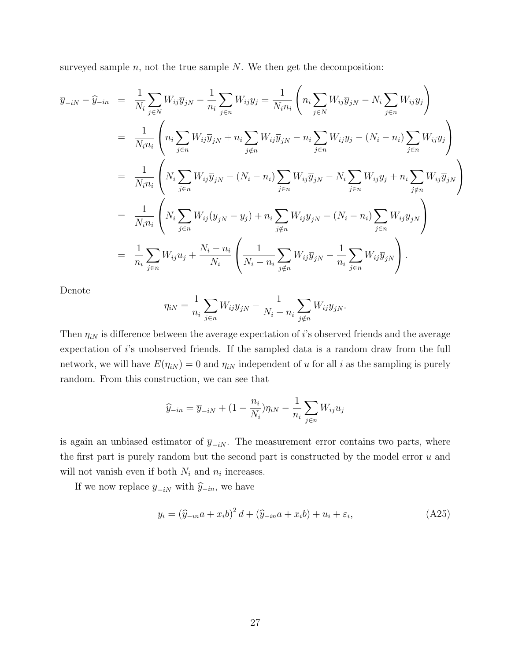surveyed sample  $n$ , not the true sample  $N$ . We then get the decomposition:

$$
\overline{y}_{-iN} - \widehat{y}_{-in} = \frac{1}{N_i} \sum_{j \in N} W_{ij} \overline{y}_{jN} - \frac{1}{n_i} \sum_{j \in n} W_{ij} y_j = \frac{1}{N_i n_i} \left( n_i \sum_{j \in N} W_{ij} \overline{y}_{jN} - N_i \sum_{j \in n} W_{ij} y_j \right)
$$
  
\n
$$
= \frac{1}{N_i n_i} \left( n_i \sum_{j \in n} W_{ij} \overline{y}_{jN} + n_i \sum_{j \notin n} W_{ij} \overline{y}_{jN} - n_i \sum_{j \in n} W_{ij} y_j - (N_i - n_i) \sum_{j \in n} W_{ij} y_j \right)
$$
  
\n
$$
= \frac{1}{N_i n_i} \left( N_i \sum_{j \in n} W_{ij} \overline{y}_{jN} - (N_i - n_i) \sum_{j \in n} W_{ij} \overline{y}_{jN} - N_i \sum_{j \in n} W_{ij} y_j + n_i \sum_{j \notin n} W_{ij} \overline{y}_{jN} \right)
$$
  
\n
$$
= \frac{1}{N_i n_i} \left( N_i \sum_{j \in n} W_{ij} (\overline{y}_{jN} - y_j) + n_i \sum_{j \notin n} W_{ij} \overline{y}_{jN} - (N_i - n_i) \sum_{j \in n} W_{ij} \overline{y}_{jN} \right)
$$
  
\n
$$
= \frac{1}{n_i} \sum_{j \in n} W_{ij} u_j + \frac{N_i - n_i}{N_i} \left( \frac{1}{N_i - n_i} \sum_{j \notin n} W_{ij} \overline{y}_{jN} - \frac{1}{n_i} \sum_{j \in n} W_{ij} \overline{y}_{jN} \right).
$$

Denote

$$
\eta_{iN} = \frac{1}{n_i} \sum_{j \in n} W_{ij} \overline{y}_{jN} - \frac{1}{N_i - n_i} \sum_{j \notin n} W_{ij} \overline{y}_{jN}.
$$

Then  $\eta_{iN}$  is difference between the average expectation of i's observed friends and the average expectation of i's unobserved friends. If the sampled data is a random draw from the full network, we will have  $E(\eta_{iN}) = 0$  and  $\eta_{iN}$  independent of u for all i as the sampling is purely random. From this construction, we can see that

$$
\widehat{y}_{-in} = \overline{y}_{-iN} + (1 - \frac{n_i}{N_i})\eta_{iN} - \frac{1}{n_i} \sum_{j \in n} W_{ij} u_j
$$

is again an unbiased estimator of  $\bar{y}_{-iN}$ . The measurement error contains two parts, where the first part is purely random but the second part is constructed by the model error  $u$  and will not vanish even if both  $N_i$  and  $n_i$  increases.

If we now replace  $\overline{y}_{-iN}$  with  $\widehat{y}_{-in},$  we have

$$
y_i = \left(\widehat{y}_{-in}a + x_ib\right)^2 d + \left(\widehat{y}_{-in}a + x_ib\right) + u_i + \varepsilon_i,
$$
\n(A25)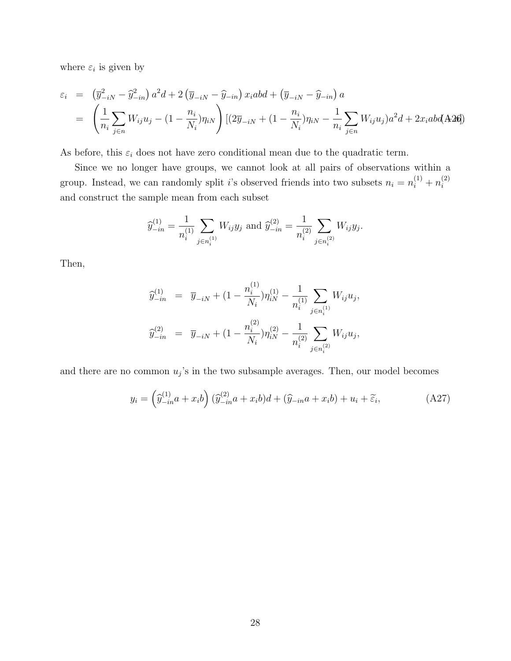where  $\varepsilon_i$  is given by

$$
\varepsilon_i = \left(\overline{y}_{-iN}^2 - \widehat{y}_{-in}^2\right) a^2 d + 2 \left(\overline{y}_{-iN} - \widehat{y}_{-in}\right) x_i abd + \left(\overline{y}_{-iN} - \widehat{y}_{-in}\right) a
$$
\n
$$
= \left(\frac{1}{n_i} \sum_{j \in n} W_{ij} u_j - \left(1 - \frac{n_i}{N_i}\right) \eta_{iN}\right) \left[ (2\overline{y}_{-iN} + \left(1 - \frac{n_i}{N_i}\right) \eta_{iN} - \frac{1}{n_i} \sum_{j \in n} W_{ij} u_j \right) a^2 d + 2x_i abd(\mathbf{A}2\mathbf{0})
$$

As before, this  $\varepsilon_i$  does not have zero conditional mean due to the quadratic term.

Since we no longer have groups, we cannot look at all pairs of observations within a group. Instead, we can randomly split *i*'s observed friends into two subsets  $n_i = n_i^{(1)} + n_i^{(2)}$ i and construct the sample mean from each subset

$$
\widehat{y}_{-in}^{(1)} = \frac{1}{n_i^{(1)}} \sum_{j \in n_i^{(1)}} W_{ij} y_j \text{ and } \widehat{y}_{-in}^{(2)} = \frac{1}{n_i^{(2)}} \sum_{j \in n_i^{(2)}} W_{ij} y_j.
$$

Then,

$$
\widehat{y}_{-in}^{(1)} = \overline{y}_{-iN} + (1 - \frac{n_i^{(1)}}{N_i}) \eta_{iN}^{(1)} - \frac{1}{n_i^{(1)}} \sum_{j \in n_i^{(1)}} W_{ij} u_j,
$$
  

$$
\widehat{y}_{-in}^{(2)} = \overline{y}_{-iN} + (1 - \frac{n_i^{(2)}}{N_i}) \eta_{iN}^{(2)} - \frac{1}{n_i^{(2)}} \sum_{j \in n_i^{(2)}} W_{ij} u_j,
$$

and there are no common  $u_j$ 's in the two subsample averages. Then, our model becomes

$$
y_i = \left(\widehat{y}_{-in}^{(1)}a + x_ib\right)\left(\widehat{y}_{-in}^{(2)}a + x_ib\right)d + \left(\widehat{y}_{-in}a + x_ib\right) + u_i + \widetilde{\varepsilon}_i,
$$
\n(A27)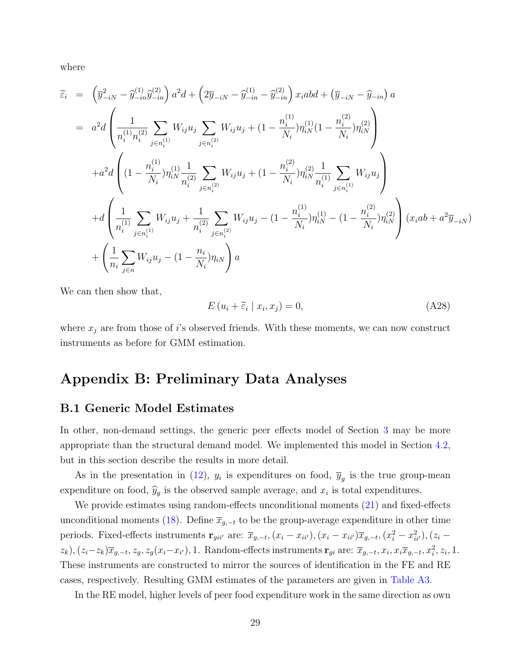where

$$
\widetilde{\varepsilon}_{i} = \left(\overline{y}_{-iN}^{2} - \widehat{y}_{-in}^{(1)}\widehat{y}_{-in}^{(2)}\right)a^{2}d + \left(2\overline{y}_{-iN} - \widehat{y}_{-in}^{(1)} - \widehat{y}_{-in}^{(2)}\right)x_{i}abd + \left(\overline{y}_{-iN} - \widehat{y}_{-in}\right)a
$$
\n
$$
= a^{2}d\left(\frac{1}{n_{i}^{(1)}n_{i}^{(2)}}\sum_{j\in n_{i}^{(1)}}W_{ij}u_{j}\sum_{j\in n_{i}^{(2)}}W_{ij}u_{j} + (1 - \frac{n_{i}^{(1)}}{N_{i}})\eta_{iN}^{(1)}(1 - \frac{n_{i}^{(2)}}{N_{i}})\eta_{iN}^{(2)}\right)
$$
\n
$$
+ a^{2}d\left((1 - \frac{n_{i}^{(1)}}{N_{i}})\eta_{iN}^{(1)}\frac{1}{n_{i}^{(2)}}\sum_{j\in n_{i}^{(2)}}W_{ij}u_{j} + (1 - \frac{n_{i}^{(2)}}{N_{i}})\eta_{iN}^{(2)}\frac{1}{n_{i}^{(1)}}\sum_{j\in n_{i}^{(1)}}W_{ij}u_{j}\right)
$$
\n
$$
+ d\left(\frac{1}{n_{i}^{(1)}}\sum_{j\in n_{i}^{(1)}}W_{ij}u_{j} + \frac{1}{n_{i}^{(2)}}\sum_{j\in n_{i}^{(2)}}W_{ij}u_{j} - (1 - \frac{n_{i}^{(1)}}{N_{i}})\eta_{iN}^{(1)} - (1 - \frac{n_{i}^{(2)}}{N_{i}})\eta_{iN}^{(2)}\right)(x_{i}ab + a^{2}\overline{y}_{-iN})
$$
\n
$$
+ \left(\frac{1}{n_{i}}\sum_{j\in n}W_{ij}u_{j} - (1 - \frac{n_{i}}{N_{i}})\eta_{iN}\right)a
$$

We can then show that,

$$
E(u_i + \widetilde{\varepsilon}_i \mid x_i, x_j) = 0,\tag{A28}
$$

where  $x_j$  are from those of i's observed friends. With these moments, we can now construct instruments as before for GMM estimation.

### Appendix B: Preliminary Data Analyses

#### B.1 Generic Model Estimates

In other, non-demand settings, the generic peer effects model of Section [3](#page-0-1) may be more appropriate than the structural demand model. We implemented this model in Section [4.2,](#page-0-1) but in this section describe the results in more detail.

As in the presentation in [\(12\)](#page-0-1),  $y_i$  is expenditures on food,  $\overline{y}_g$  is the true group-mean expenditure on food,  $\hat{y}_g$  is the observed sample average, and  $x_i$  is total expenditures.

We provide estimates using random-effects unconditional moments [\(21\)](#page-0-1) and fixed-effects unconditional moments [\(18\)](#page-0-1). Define  $\overline{x}_{g,-t}$  to be the group-average expenditure in other time periods. Fixed-effects instruments  $\mathbf{r}_{gi i'}$  are:  $\overline{x}_{g,-t}$ ,  $(x_i - x_{ii'})$ ,  $(x_i - x_{ii'}) \overline{x}_{g,-t}$ ,  $(x_i^2 - x_{ii'}^2)$ ,  $(z_i - z_{ii'})$  $(z_k)$ ,  $(z_i-z_k)\overline{x}_{g,-t}, z_g, z_g(x_i-x_{i'})$ , 1. Random-effects instruments  $\mathbf{r}_{gi}$  are:  $\overline{x}_{g,-t}, x_i, x_i\overline{x}_{g,-t}, x_i^2, z_i$ , 1. These instruments are constructed to mirror the sources of identification in the FE and RE cases, respectively. Resulting GMM estimates of the parameters are given in [Table A3.](#page-34-0)

In the RE model, higher levels of peer food expenditure work in the same direction as own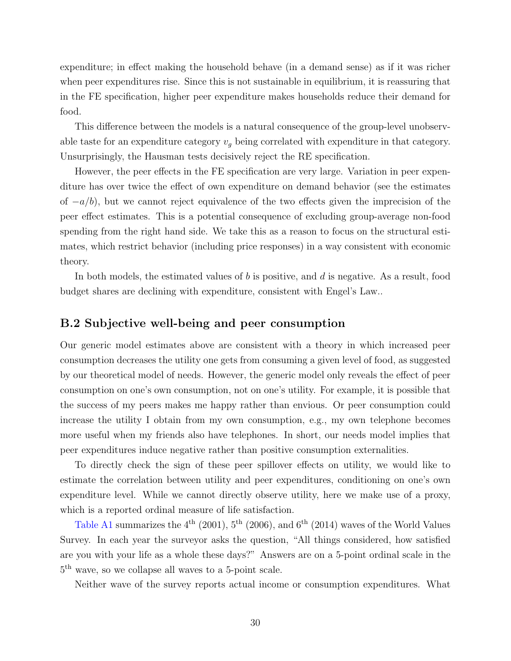expenditure; in effect making the household behave (in a demand sense) as if it was richer when peer expenditures rise. Since this is not sustainable in equilibrium, it is reassuring that in the FE specification, higher peer expenditure makes households reduce their demand for food.

This difference between the models is a natural consequence of the group-level unobservable taste for an expenditure category  $v_q$  being correlated with expenditure in that category. Unsurprisingly, the Hausman tests decisively reject the RE specification.

However, the peer effects in the FE specification are very large. Variation in peer expenditure has over twice the effect of own expenditure on demand behavior (see the estimates of  $-a/b$ ), but we cannot reject equivalence of the two effects given the imprecision of the peer effect estimates. This is a potential consequence of excluding group-average non-food spending from the right hand side. We take this as a reason to focus on the structural estimates, which restrict behavior (including price responses) in a way consistent with economic theory.

In both models, the estimated values of  $b$  is positive, and  $d$  is negative. As a result, food budget shares are declining with expenditure, consistent with Engel's Law..

#### B.2 Subjective well-being and peer consumption

Our generic model estimates above are consistent with a theory in which increased peer consumption decreases the utility one gets from consuming a given level of food, as suggested by our theoretical model of needs. However, the generic model only reveals the effect of peer consumption on one's own consumption, not on one's utility. For example, it is possible that the success of my peers makes me happy rather than envious. Or peer consumption could increase the utility I obtain from my own consumption, e.g., my own telephone becomes more useful when my friends also have telephones. In short, our needs model implies that peer expenditures induce negative rather than positive consumption externalities.

To directly check the sign of these peer spillover effects on utility, we would like to estimate the correlation between utility and peer expenditures, conditioning on one's own expenditure level. While we cannot directly observe utility, here we make use of a proxy, which is a reported ordinal measure of life satisfaction.

[Table A1](#page-32-0) summarizes the  $4^{th}$  (2001),  $5^{th}$  (2006), and  $6^{th}$  (2014) waves of the World Values Survey. In each year the surveyor asks the question, "All things considered, how satisfied are you with your life as a whole these days?" Answers are on a 5-point ordinal scale in the 5 th wave, so we collapse all waves to a 5-point scale.

Neither wave of the survey reports actual income or consumption expenditures. What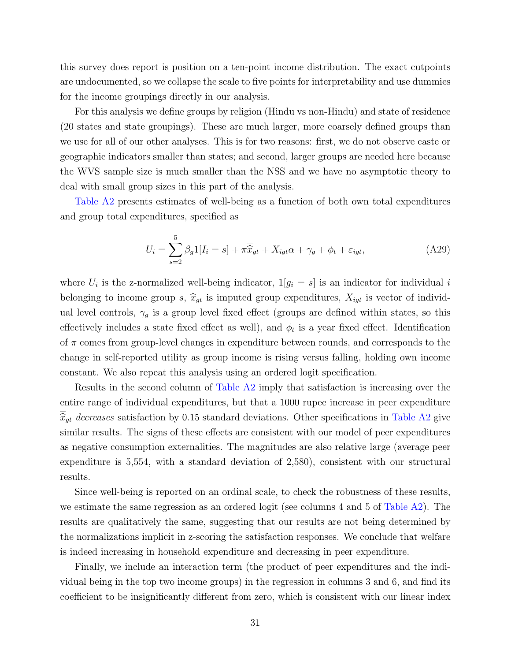this survey does report is position on a ten-point income distribution. The exact cutpoints are undocumented, so we collapse the scale to five points for interpretability and use dummies for the income groupings directly in our analysis.

For this analysis we define groups by religion (Hindu vs non-Hindu) and state of residence (20 states and state groupings). These are much larger, more coarsely defined groups than we use for all of our other analyses. This is for two reasons: first, we do not observe caste or geographic indicators smaller than states; and second, larger groups are needed here because the WVS sample size is much smaller than the NSS and we have no asymptotic theory to deal with small group sizes in this part of the analysis.

[Table A2](#page-33-0) presents estimates of well-being as a function of both own total expenditures and group total expenditures, specified as

$$
U_i = \sum_{s=2}^{5} \beta_g 1[I_i = s] + \pi \overline{\hat{x}}_{gt} + X_{igt}\alpha + \gamma_g + \phi_t + \varepsilon_{igt}, \tag{A29}
$$

where  $U_i$  is the z-normalized well-being indicator,  $1[g_i = s]$  is an indicator for individual i belonging to income group s,  $\overline{\hat{x}}_{gt}$  is imputed group expenditures,  $X_{igt}$  is vector of individual level controls,  $\gamma_g$  is a group level fixed effect (groups are defined within states, so this effectively includes a state fixed effect as well), and  $\phi_t$  is a year fixed effect. Identification of  $\pi$  comes from group-level changes in expenditure between rounds, and corresponds to the change in self-reported utility as group income is rising versus falling, holding own income constant. We also repeat this analysis using an ordered logit specification.

Results in the second column of [Table A2](#page-33-0) imply that satisfaction is increasing over the entire range of individual expenditures, but that a 1000 rupee increase in peer expenditure  $\overline{\hat{x}}_{qt}$  decreases satisfaction by 0.15 standard deviations. Other specifications in [Table A2](#page-33-0) give similar results. The signs of these effects are consistent with our model of peer expenditures as negative consumption externalities. The magnitudes are also relative large (average peer expenditure is 5,554, with a standard deviation of 2,580), consistent with our structural results.

Since well-being is reported on an ordinal scale, to check the robustness of these results, we estimate the same regression as an ordered logit (see columns 4 and 5 of [Table A2\)](#page-33-0). The results are qualitatively the same, suggesting that our results are not being determined by the normalizations implicit in z-scoring the satisfaction responses. We conclude that welfare is indeed increasing in household expenditure and decreasing in peer expenditure.

Finally, we include an interaction term (the product of peer expenditures and the individual being in the top two income groups) in the regression in columns 3 and 6, and find its coefficient to be insignificantly different from zero, which is consistent with our linear index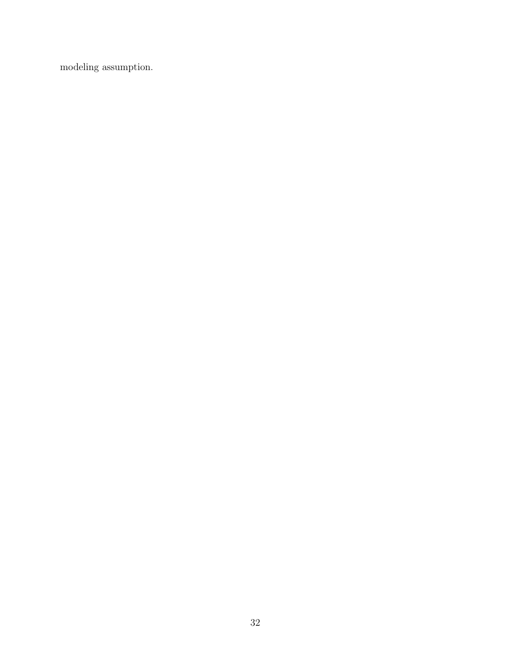modeling assumption.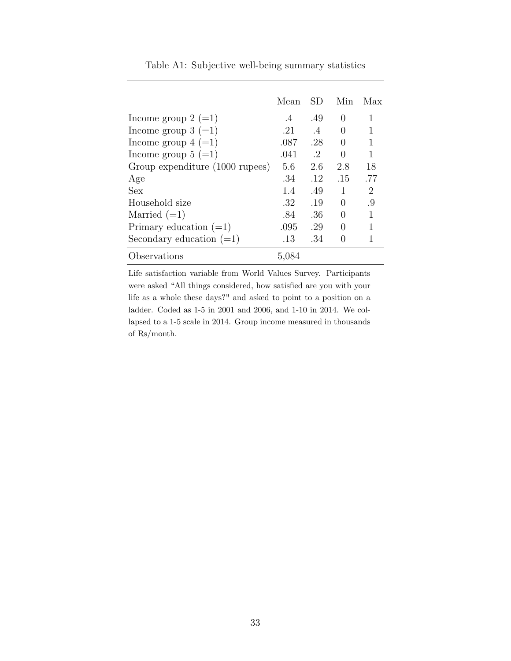<span id="page-32-0"></span>

|                                 | Mean      | SD.            | Min              | Max |
|---------------------------------|-----------|----------------|------------------|-----|
| Income group $2 (=1)$           | $\cdot$ 4 | .49            | $\left( \right)$ | 1   |
| Income group $3 (=1)$           | .21       | $\overline{A}$ | $\left( \right)$ |     |
| Income group $4 (=1)$           | .087      | .28            | $\left( \right)$ | 1   |
| Income group $5 (=1)$           | .041      | $\cdot$ 2      | $\left( \right)$ | 1   |
| Group expenditure (1000 rupees) | 5.6       | 2.6            | 2.8              | 18  |
| Age                             | -34       | .12            | .15              | .77 |
| Sex                             | 1.4       | .49            | 1                | 2   |
| Household size                  | .32       | .19            |                  | .9  |
| Married $(=1)$                  | .84       | .36            |                  |     |
| Primary education $(=1)$        | .095      | .29            | $\mathbf{0}$     |     |
| Secondary education $(=1)$      | .13       | .34            |                  |     |
| Observations                    | 5,084     |                |                  |     |

Table A1: Subjective well-being summary statistics

Life satisfaction variable from World Values Survey. Participants were asked "All things considered, how satisfied are you with your life as a whole these days?" and asked to point to a position on a ladder. Coded as 1-5 in 2001 and 2006, and 1-10 in 2014. We collapsed to a 1-5 scale in 2014. Group income measured in thousands of Rs/month.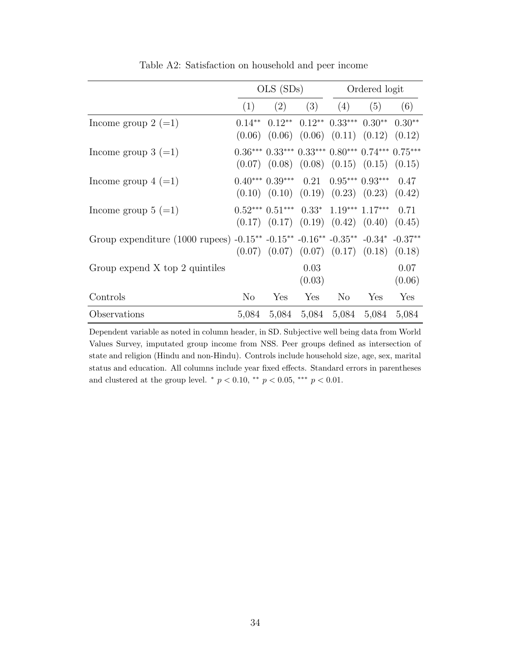<span id="page-33-0"></span>

|                                                                                | $OLS$ $(SDs)$  |     |                                                                                                                       | Ordered logit  |     |                |
|--------------------------------------------------------------------------------|----------------|-----|-----------------------------------------------------------------------------------------------------------------------|----------------|-----|----------------|
|                                                                                | (1)            | (2) |                                                                                                                       | $(3)$ $(4)$    | (5) | (6)            |
| Income group $2 (=1)$                                                          | $0.14***$      |     | $0.12^{**}$ $0.12^{**}$ $0.33^{***}$ $0.30^{**}$ $0.30^{**}$<br>$(0.06)$ $(0.06)$ $(0.06)$ $(0.11)$ $(0.12)$ $(0.12)$ |                |     |                |
| Income group $3 (=1)$                                                          |                |     | $0.36***$ $0.33***$ $0.33***$ $0.80***$ $0.74***$ $0.75***$<br>$(0.07)$ $(0.08)$ $(0.08)$ $(0.15)$ $(0.15)$ $(0.15)$  |                |     |                |
| Income group $4 (=1)$                                                          |                |     | $0.40***$ $0.39***$ $0.21$ $0.95***$ $0.93***$<br>$(0.10)$ $(0.10)$ $(0.19)$ $(0.23)$ $(0.23)$ $(0.42)$               |                |     | 0.47           |
| Income group $5 (=1)$                                                          |                |     | $0.52***$ $0.51***$ $0.33*$ $1.19***$ $1.17***$<br>$(0.17)$ $(0.17)$ $(0.19)$ $(0.42)$ $(0.40)$ $(0.45)$              |                |     | 0.71           |
| Group expenditure (1000 rupees) -0.15** -0.15** -0.16** -0.35** -0.34* -0.37** |                |     | $(0.07)$ $(0.07)$ $(0.07)$ $(0.17)$ $(0.18)$ $(0.18)$                                                                 |                |     |                |
| Group expend $X$ top 2 quintiles                                               |                |     | 0.03<br>(0.03)                                                                                                        |                |     | 0.07<br>(0.06) |
| Controls                                                                       | N <sub>o</sub> | Yes | Yes                                                                                                                   | N <sub>o</sub> | Yes | Yes            |
| Observations                                                                   |                |     | 5,084 5,084 5,084 5,084 5,084                                                                                         |                |     | 5,084          |

Table A2: Satisfaction on household and peer income

Dependent variable as noted in column header, in SD. Subjective well being data from World Values Survey, imputated group income from NSS. Peer groups defined as intersection of state and religion (Hindu and non-Hindu). Controls include household size, age, sex, marital status and education. All columns include year fixed effects. Standard errors in parentheses and clustered at the group level.  $*$   $p < 0.10$ ,  $**$   $p < 0.05$ ,  $***$   $p < 0.01$ .